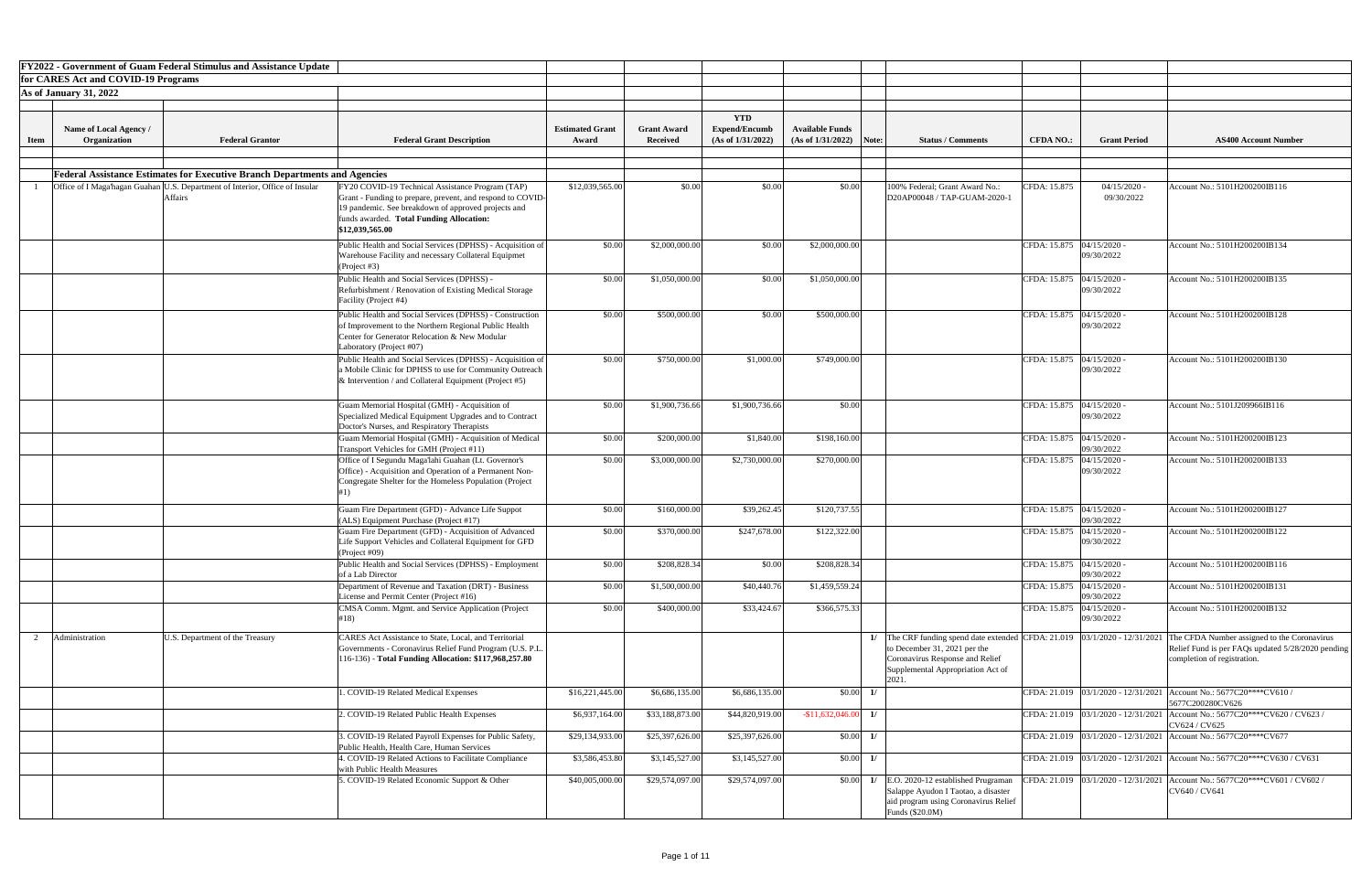|             |                                     | <b>FY2022 - Government of Guam Federal Stimulus and Assistance Update</b>                      |                                                                                                                                                                                                                                      |                        |                    |                      |                           |                                                                                                                                                                                              |                             |                              |                                                                                                                                 |
|-------------|-------------------------------------|------------------------------------------------------------------------------------------------|--------------------------------------------------------------------------------------------------------------------------------------------------------------------------------------------------------------------------------------|------------------------|--------------------|----------------------|---------------------------|----------------------------------------------------------------------------------------------------------------------------------------------------------------------------------------------|-----------------------------|------------------------------|---------------------------------------------------------------------------------------------------------------------------------|
|             | for CARES Act and COVID-19 Programs |                                                                                                |                                                                                                                                                                                                                                      |                        |                    |                      |                           |                                                                                                                                                                                              |                             |                              |                                                                                                                                 |
|             | <b>As of January 31, 2022</b>       |                                                                                                |                                                                                                                                                                                                                                      |                        |                    |                      |                           |                                                                                                                                                                                              |                             |                              |                                                                                                                                 |
|             |                                     |                                                                                                |                                                                                                                                                                                                                                      |                        |                    | <b>YTD</b>           |                           |                                                                                                                                                                                              |                             |                              |                                                                                                                                 |
|             | Name of Local Agency /              |                                                                                                |                                                                                                                                                                                                                                      | <b>Estimated Grant</b> | <b>Grant Award</b> | <b>Expend/Encumb</b> | <b>Available Funds</b>    |                                                                                                                                                                                              |                             |                              |                                                                                                                                 |
| <b>Item</b> | Organization                        | <b>Federal Grantor</b>                                                                         | <b>Federal Grant Description</b>                                                                                                                                                                                                     | Award                  | <b>Received</b>    | (As of 1/31/2022)    | $(As of 1/31/2022)$ Note: | <b>Status / Comments</b>                                                                                                                                                                     | <b>CFDA NO.:</b>            | <b>Grant Period</b>          | <b>AS400 Account Number</b>                                                                                                     |
|             |                                     |                                                                                                |                                                                                                                                                                                                                                      |                        |                    |                      |                           |                                                                                                                                                                                              |                             |                              |                                                                                                                                 |
|             |                                     | <b>Federal Assistance Estimates for Executive Branch Departments and Agencies</b>              |                                                                                                                                                                                                                                      |                        |                    |                      |                           |                                                                                                                                                                                              |                             |                              |                                                                                                                                 |
|             |                                     | Office of I Maga'hagan Guahan U.S. Department of Interior, Office of Insular<br><b>Affairs</b> | FY20 COVID-19 Technical Assistance Program (TAP)<br>Grant - Funding to prepare, prevent, and respond to COVID-<br>19 pandemic. See breakdown of approved projects and<br>funds awarded. Total Funding Allocation:<br>\$12,039,565.00 | \$12,039,565.00        | \$0.00             | \$0.00               | \$0.00                    | 100% Federal; Grant Award No.:<br>D20AP00048 / TAP-GUAM-2020-1                                                                                                                               | CFDA: 15.875                | $04/15/2020$ -<br>09/30/2022 | Account No.: 5101H200200IB116                                                                                                   |
|             |                                     |                                                                                                | Public Health and Social Services (DPHSS) - Acquisition of<br>Warehouse Facility and necessary Collateral Equipmet<br>(Project #3)                                                                                                   | \$0.00                 | \$2,000,000.00     | \$0.00               | \$2,000,000.00            |                                                                                                                                                                                              | CFDA: 15.875 04/15/2020 -   | 09/30/2022                   | Account No.: 5101H200200IB134                                                                                                   |
|             |                                     |                                                                                                | Public Health and Social Services (DPHSS) -<br>Refurbishment / Renovation of Existing Medical Storage<br>Facility (Project #4)                                                                                                       | \$0.00                 | \$1,050,000.00     | \$0.00               | \$1,050,000.00            |                                                                                                                                                                                              | CFDA: 15.875 04/15/2020 -   | 09/30/2022                   | Account No.: 5101H200200IB135                                                                                                   |
|             |                                     |                                                                                                | Public Health and Social Services (DPHSS) - Construction<br>of Improvement to the Northern Regional Public Health<br>Center for Generator Relocation & New Modular<br>Laboratory (Project #07)                                       | \$0.00                 | \$500,000.00       | \$0.00               | \$500,000.00              |                                                                                                                                                                                              | CFDA: 15.875 04/15/2020 -   | 09/30/2022                   | Account No.: 5101H200200IB128                                                                                                   |
|             |                                     |                                                                                                | Public Health and Social Services (DPHSS) - Acquisition of<br>a Mobile Clinic for DPHSS to use for Community Outreach<br>& Intervention / and Collateral Equipment (Project #5)                                                      | \$0.00                 | \$750,000.00       | \$1,000.00           | \$749,000.00              |                                                                                                                                                                                              | CFDA: 15.875 04/15/2020 -   | 09/30/2022                   | Account No.: 5101H200200IB130                                                                                                   |
|             |                                     |                                                                                                | Guam Memorial Hospital (GMH) - Acquisition of<br>Specialized Medical Equipment Upgrades and to Contract<br>Doctor's Nurses, and Respiratory Therapists                                                                               | \$0.00                 | \$1,900,736.66     | \$1,900,736.66       | \$0.00                    |                                                                                                                                                                                              | CFDA: 15.875 04/15/2020 -   | 09/30/2022                   | Account No.: 5101J209966IB116                                                                                                   |
|             |                                     |                                                                                                | Guam Memorial Hospital (GMH) - Acquisition of Medical<br>Transport Vehicles for GMH (Project #11)                                                                                                                                    | \$0.00                 | \$200,000.00       | \$1,840.00           | \$198,160.00              |                                                                                                                                                                                              | CFDA: 15.875   04/15/2020 - | 09/30/2022                   | Account No.: 5101H200200IB123                                                                                                   |
|             |                                     |                                                                                                | Office of I Segundu Maga'lahi Guahan (Lt. Governor's<br>Office) - Acquisition and Operation of a Permanent Non-<br>Congregate Shelter for the Homeless Population (Project                                                           | \$0.00                 | \$3,000,000.00     | \$2,730,000.00       | \$270,000.00              |                                                                                                                                                                                              | CFDA: 15.875   04/15/2020 - | 09/30/2022                   | Account No.: 5101H200200IB133                                                                                                   |
|             |                                     |                                                                                                | Guam Fire Department (GFD) - Advance Life Suppot<br>(ALS) Equipment Purchase (Project #17)                                                                                                                                           | \$0.00                 | \$160,000.00       | \$39,262.45          | \$120,737.55              |                                                                                                                                                                                              | CFDA: 15.875 04/15/2020 -   | 09/30/2022                   | Account No.: 5101H200200IB127                                                                                                   |
|             |                                     |                                                                                                | Guam Fire Department (GFD) - Acquisition of Advanced<br>Life Support Vehicles and Collateral Equipment for GFD<br>(Project #09)                                                                                                      | \$0.00                 | \$370,000.00       | \$247,678.00         | \$122,322.00              |                                                                                                                                                                                              | CFDA: 15.875 04/15/2020 -   | 09/30/2022                   | Account No.: 5101H200200IB122                                                                                                   |
|             |                                     |                                                                                                | Public Health and Social Services (DPHSS) - Employment<br>of a Lab Director                                                                                                                                                          | \$0.00                 | \$208,828.34       | \$0.00               | \$208,828.34              |                                                                                                                                                                                              | CFDA: 15.875 04/15/2020 -   | 09/30/2022                   | Account No.: 5101H200200IB116                                                                                                   |
|             |                                     |                                                                                                | Department of Revenue and Taxation (DRT) - Business<br>License and Permit Center (Project #16)                                                                                                                                       | \$0.00                 | \$1,500,000.00     | \$40,440.76          | \$1,459,559.24            |                                                                                                                                                                                              | CFDA: 15.875 04/15/2020 -   | 09/30/2022                   | Account No.: 5101H200200IB131                                                                                                   |
|             |                                     |                                                                                                | CMSA Comm. Mgmt. and Service Application (Project<br>#18)                                                                                                                                                                            | \$0.00                 | \$400,000.00       | \$33,424.67          | \$366,575.33              |                                                                                                                                                                                              | CFDA: 15.875 04/15/2020 -   | 09/30/2022                   | Account No.: 5101H200200IB132                                                                                                   |
|             | Administration                      | U.S. Department of the Treasury                                                                | CARES Act Assistance to State, Local, and Territorial<br>Governments - Coronavirus Relief Fund Program (U.S. P.L.<br>116-136) - Total Funding Allocation: \$117,968,257.80                                                           |                        |                    |                      |                           | The CRF funding spend date extended CFDA: 21.019 $ 03/1/2020 - 12/31/2021 $<br>to December 31, 2021 per the<br>Coronavirus Response and Relief<br>Supplemental Appropriation Act of<br>2021. |                             |                              | The CFDA Number assigned to the Coronavirus<br>Relief Fund is per FAQs updated 5/28/2020 pending<br>completion of registration. |
|             |                                     |                                                                                                | . COVID-19 Related Medical Expenses                                                                                                                                                                                                  | \$16,221,445.00        | \$6,686,135.00     | \$6,686,135.00       | \$0.00                    | $\mathbf{1}$                                                                                                                                                                                 |                             |                              | CFDA: 21.019 03/1/2020 - 12/31/2021 Account No.: 5677C20****CV610 /<br>5677C200280CV626                                         |
|             |                                     |                                                                                                | 2. COVID-19 Related Public Health Expenses                                                                                                                                                                                           | \$6,937,164.00         | \$33,188,873.00    | \$44,820,919.00      | $-$ \$11,632,046.00 1/    |                                                                                                                                                                                              |                             |                              | CFDA: 21.019 03/1/2020 - 12/31/2021 Account No.: 5677C20****CV620 / CV623 /<br>CV624 / CV625                                    |
|             |                                     |                                                                                                | . COVID-19 Related Payroll Expenses for Public Safety,<br>Public Health, Health Care, Human Services                                                                                                                                 | \$29,134,933.00        | \$25,397,626.00    | \$25,397,626.00      | \$0.00                    | $\frac{1}{2}$                                                                                                                                                                                |                             |                              | CFDA: 21.019 03/1/2020 - 12/31/2021 Account No.: 5677C20****CV677                                                               |
|             |                                     |                                                                                                | 4. COVID-19 Related Actions to Facilitate Compliance<br>with Public Health Measures                                                                                                                                                  | \$3,586,453.80         | \$3,145,527.00     | \$3,145,527.00       | \$0.00                    | $\frac{1}{2}$                                                                                                                                                                                |                             |                              | CFDA: 21.019 $\left  03/1/2020 - 12/31/2021 \right $ Account No.: 5677C20****CV630 / CV631                                      |
|             |                                     |                                                                                                | . COVID-19 Related Economic Support & Other                                                                                                                                                                                          | \$40,005,000.00        | \$29,574,097.00    | \$29,574,097.00      | \$0.00                    | E.O. 2020-12 established Prugraman<br>1/<br>Salappe Ayudon I Taotao, a disaster<br>aid program using Coronavirus Relief<br>Funds (\$20.0M)                                                   |                             |                              | CFDA: 21.019   03/1/2020 - 12/31/2021   Account No.: 5677C20****CV601 / CV602 /<br>CV640 / CV641                                |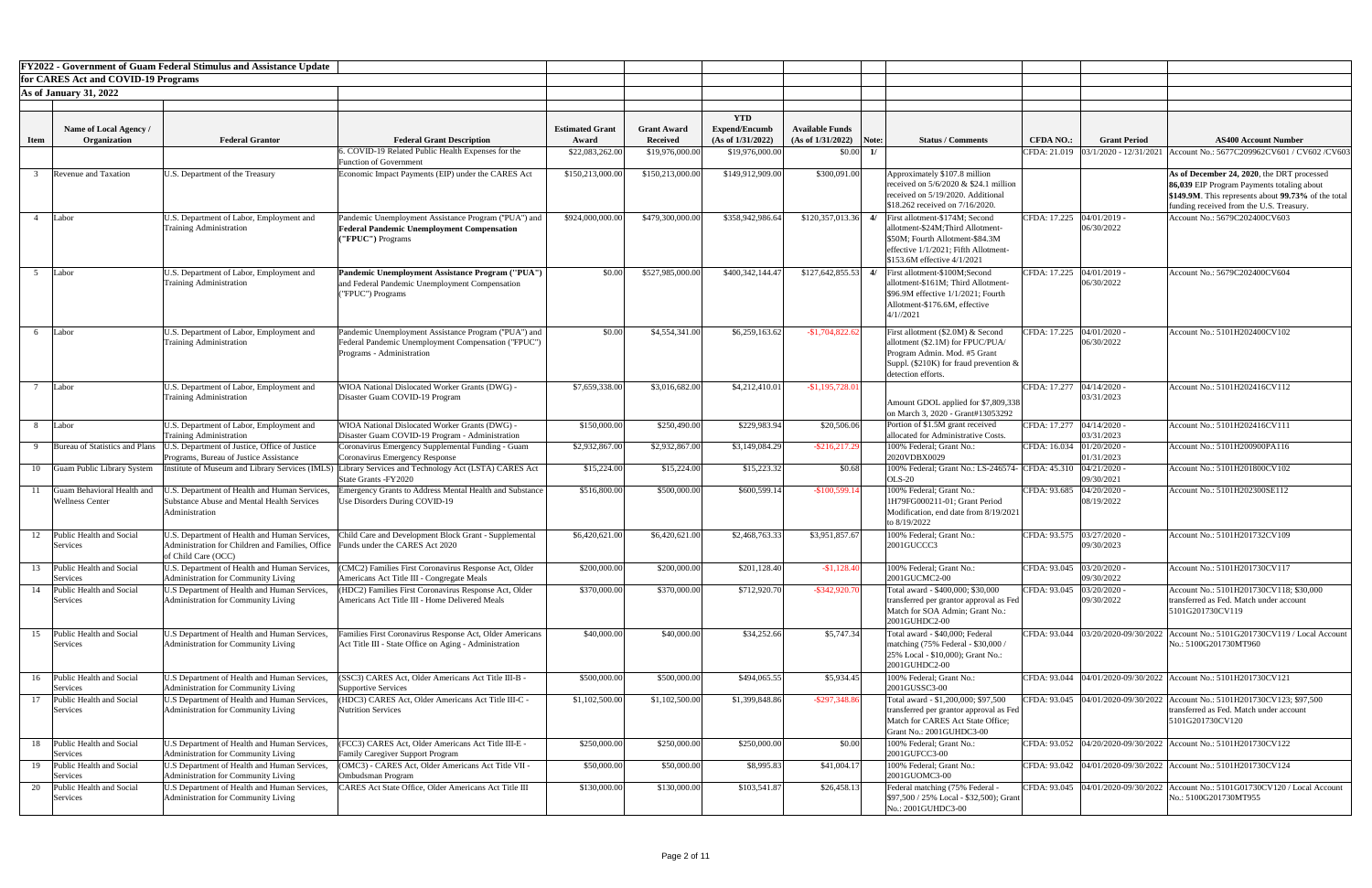|              |                                                      | <b>FY2022 - Government of Guam Federal Stimulus and Assistance Update</b>                                                                               |                                                                                                                                          |                                 |                                       |                                                         |                                                     |                                                                                                                                                                                                   |                             |                            |                                                                                                                                                                                             |
|--------------|------------------------------------------------------|---------------------------------------------------------------------------------------------------------------------------------------------------------|------------------------------------------------------------------------------------------------------------------------------------------|---------------------------------|---------------------------------------|---------------------------------------------------------|-----------------------------------------------------|---------------------------------------------------------------------------------------------------------------------------------------------------------------------------------------------------|-----------------------------|----------------------------|---------------------------------------------------------------------------------------------------------------------------------------------------------------------------------------------|
|              | for CARES Act and COVID-19 Programs                  |                                                                                                                                                         |                                                                                                                                          |                                 |                                       |                                                         |                                                     |                                                                                                                                                                                                   |                             |                            |                                                                                                                                                                                             |
|              | <b>As of January 31, 2022</b>                        |                                                                                                                                                         |                                                                                                                                          |                                 |                                       |                                                         |                                                     |                                                                                                                                                                                                   |                             |                            |                                                                                                                                                                                             |
| <b>Item</b>  | Name of Local Agency /<br>Organization               | <b>Federal Grantor</b>                                                                                                                                  | <b>Federal Grant Description</b>                                                                                                         | <b>Estimated Grant</b><br>Award | <b>Grant Award</b><br><b>Received</b> | <b>YTD</b><br><b>Expend/Encumb</b><br>(As of 1/31/2022) | <b>Available Funds</b><br>$(As of 1/31/2022)$ Note: | <b>Status / Comments</b>                                                                                                                                                                          | <b>CFDA NO.:</b>            | <b>Grant Period</b>        | <b>AS400 Account Number</b>                                                                                                                                                                 |
|              |                                                      |                                                                                                                                                         | 5. COVID-19 Related Public Health Expenses for the                                                                                       | \$22,083,262.00                 | \$19,976,000.00                       | \$19,976,000.00                                         | \$0.00                                              |                                                                                                                                                                                                   |                             |                            | CFDA: 21.019   03/1/2020 - 12/31/2021   Account No.: 5677C209962CV601 / CV602 / CV603                                                                                                       |
|              |                                                      |                                                                                                                                                         | <b>Function of Government</b>                                                                                                            |                                 |                                       |                                                         |                                                     |                                                                                                                                                                                                   |                             |                            |                                                                                                                                                                                             |
|              | <b>Revenue and Taxation</b>                          | U.S. Department of the Treasury                                                                                                                         | Economic Impact Payments (EIP) under the CARES Act                                                                                       | \$150,213,000.00                | \$150,213,000.00                      | \$149,912,909.00                                        | \$300,091.00                                        | Approximately \$107.8 million<br>received on $5/6/2020$ & \$24.1 million<br>received on 5/19/2020. Additional<br>\$18.262 received on 7/16/2020.                                                  |                             |                            | As of December 24, 2020, the DRT processed<br>86,039 EIP Program Payments totaling about<br>\$149.9M. This represents about 99.73% of the total<br>funding received from the U.S. Treasury. |
|              | Labor                                                | U.S. Department of Labor, Employment and<br><b>Training Administration</b>                                                                              | Pandemic Unemployment Assistance Program ("PUA") and<br><b>Federal Pandemic Unemployment Compensation</b><br>("FPUC") Programs           | \$924,000,000.00                | \$479,300,000.00                      | \$358,942,986.64                                        |                                                     | $$120,357,013.36$ 4/ First allotment-\$174M; Second<br>allotment-\$24M;Third Allotment-<br>\$50M: Fourth Allotment-\$84.3M<br>effective 1/1/2021; Fifth Allotment-<br>\$153.6M effective 4/1/2021 | CFDA: 17.225 04/01/2019 -   | 06/30/2022                 | Account No.: 5679C202400CV603                                                                                                                                                               |
|              | Labor                                                | U.S. Department of Labor, Employment and<br><b>Training Administration</b>                                                                              | Pandemic Unemployment Assistance Program ("PUA")<br>and Federal Pandemic Unemployment Compensation<br>("FPUC") Programs                  | \$0.00                          | \$527,985,000.00                      | \$400,342,144.47                                        |                                                     | $$127,642,855.53$ 4/ First allotment-\$100M;Second<br>allotment-\$161M; Third Allotment-<br>$\$96.9M$ effective $1/1/2021$ ; Fourth<br>Allotment-\$176.6M, effective<br>4/1//2021                 | CFDA: 17.225   04/01/2019 - | 06/30/2022                 | Account No.: 5679C202400CV604                                                                                                                                                               |
|              | Labor                                                | U.S. Department of Labor, Employment and<br><b>Training Administration</b>                                                                              | Pandemic Unemployment Assistance Program ("PUA") and<br>Federal Pandemic Unemployment Compensation ("FPUC")<br>Programs - Administration | \$0.00                          | \$4,554,341.00                        | \$6,259,163.62                                          | $-$1,704,822.62$                                    | First allotment (\$2.0M) & Second<br>allotment (\$2.1M) for FPUC/PUA/<br>Program Admin. Mod. #5 Grant<br>Suppl. (\$210K) for fraud prevention $\&$<br>detection efforts.                          | CFDA: 17.225   04/01/2020 - | 06/30/2022                 | Account No.: 5101H202400CV102                                                                                                                                                               |
|              | Labor                                                | U.S. Department of Labor, Employment and<br><b>Training Administration</b>                                                                              | WIOA National Dislocated Worker Grants (DWG) -<br>Disaster Guam COVID-19 Program                                                         | \$7,659,338.00                  | \$3,016,682.00                        | \$4,212,410.01                                          | $-$ \$1,195,728.01                                  | Amount GDOL applied for \$7,809,338<br>on March 3, 2020 - Grant#13053292                                                                                                                          | CFDA: 17.277   04/14/2020 - | 03/31/2023                 | Account No.: 5101H202416CV112                                                                                                                                                               |
| -8           | Labor                                                | U.S. Department of Labor, Employment and<br><b>Training Administration</b>                                                                              | WIOA National Dislocated Worker Grants (DWG) -<br>Disaster Guam COVID-19 Program - Administration                                        | \$150,000.00                    | \$250,490.00                          | \$229,983.94                                            | \$20,506.06                                         | Portion of \$1.5M grant received<br>allocated for Administrative Costs.                                                                                                                           | CFDA: 17.277   04/14/2020 - | 03/31/2023                 | Account No.: 5101H202416CV111                                                                                                                                                               |
| $\mathbf{Q}$ | Bureau of Statistics and Plans                       | U.S. Department of Justice, Office of Justice<br>Programs, Bureau of Justice Assistance                                                                 | Coronavirus Emergency Supplemental Funding - Guam<br>Coronavirus Emergency Response                                                      | \$2,932,867.00                  | \$2,932,867.00                        | \$3,149,084.29                                          | $-$ \$216,217.29                                    | 100% Federal; Grant No.:<br>2020VDBX0029                                                                                                                                                          | CFDA: 16.034 01/20/2020     | 01/31/2023                 | Account No.: 5101H200900PA116                                                                                                                                                               |
| 10           | <b>Guam Public Library System</b>                    | institute of Museum and Library Services (IMLS)                                                                                                         | Library Services and Technology Act (LSTA) CARES Act<br>State Grants - FY2020                                                            | \$15,224.00                     | \$15,224.00                           | \$15,223.32                                             | \$0.68                                              | 100% Federal; Grant No.: LS-246574- CFDA: 45.310 04/21/2020 -<br><b>OLS-20</b>                                                                                                                    |                             | 09/30/2021                 | Account No.: 5101H201800CV102                                                                                                                                                               |
|              | Guam Behavioral Health and<br><b>Wellness Center</b> | J.S. Department of Health and Human Services,<br><b>Substance Abuse and Mental Health Services</b><br>Administration                                    | Imergency Grants to Address Mental Health and Substance<br>Use Disorders During COVID-19                                                 | \$516,800.00                    | \$500,000.00                          | \$600,599.14                                            | $-$100,599.14$                                      | 100% Federal; Grant No.:<br>1H79FG000211-01; Grant Period<br>Modification, end date from 8/19/2021<br>to 8/19/2022                                                                                | CFDA: 93.685                | 04/20/2020<br>08/19/2022   | Account No.: 5101H202300SE112                                                                                                                                                               |
|              | Public Health and Social<br>Services                 | U.S. Department of Health and Human Services,<br>Administration for Children and Families, Office Funds under the CARES Act 2020<br>of Child Care (OCC) | Child Care and Development Block Grant - Supplemental                                                                                    | \$6,420,621.00                  | \$6,420,621.00                        | \$2,468,763.33                                          | \$3,951,857.67                                      | 100% Federal; Grant No.:<br>2001GUCCC3                                                                                                                                                            | CFDA: 93.575 03/27/2020 -   | 09/30/2023                 | Account No.: 5101H201732CV109                                                                                                                                                               |
| 13           | Public Health and Social<br>Services                 | U.S. Department of Health and Human Services,<br>Administration for Community Living                                                                    | (CMC2) Families First Coronavirus Response Act, Older<br>Americans Act Title III - Congregate Meals                                      | \$200,000.00                    | \$200,000.00                          | \$201,128.40                                            | $-$1,128.40$                                        | 100% Federal; Grant No.:<br>2001GUCMC2-00                                                                                                                                                         | CFDA: 93.045 03/20/2020 -   | 09/30/2022                 | Account No.: 5101H201730CV117                                                                                                                                                               |
|              | Public Health and Social<br>Services                 | U.S Department of Health and Human Services,<br>Administration for Community Living                                                                     | (HDC2) Families First Coronavirus Response Act, Older<br>Americans Act Title III - Home Delivered Meals                                  | \$370,000.00                    | \$370,000.00                          | \$712,920.70                                            | $-$ \$342,920.70                                    | Total award - \$400,000; \$30,000<br>transferred per grantor approval as Fed<br>Match for SOA Admin; Grant No.:<br>2001GUHDC2-00                                                                  | CFDA: 93.045                | 03/20/2020 -<br>09/30/2022 | Account No.: 5101H201730CV118; \$30,000<br>transferred as Fed. Match under account<br>5101G201730CV119                                                                                      |
| 15           | Public Health and Social<br>Services                 | U.S Department of Health and Human Services,<br>Administration for Community Living                                                                     | Families First Coronavirus Response Act, Older Americans<br>Act Title III - State Office on Aging - Administration                       | \$40,000.00                     | \$40,000.00                           | \$34,252.66                                             | \$5,747.34                                          | Total award - \$40,000; Federal<br>matching (75% Federal - \$30,000 /<br>25% Local - \$10,000); Grant No.:<br>2001GUHDC2-00                                                                       |                             |                            | CFDA: 93.044   03/20/2020-09/30/2022   Account No.: 5101G201730CV119 / Local Account<br>No.: 5100G201730MT960                                                                               |
| 16           | Public Health and Social<br>Services                 | U.S Department of Health and Human Services,<br>Administration for Community Living                                                                     | SSC3) CARES Act, Older Americans Act Title III-B -<br>Supportive Services                                                                | \$500,000.00                    | \$500,000.00                          | \$494,065.55                                            | \$5,934.45                                          | 100% Federal; Grant No.:<br>2001GUSSC3-00                                                                                                                                                         |                             |                            | CFDA: 93.044  04/01/2020-09/30/2022   Account No.: 5101H201730CV121                                                                                                                         |
|              | Public Health and Social<br>Services                 | U.S Department of Health and Human Services,<br>Administration for Community Living                                                                     | (HDC3) CARES Act, Older Americans Act Title III-C -<br>Nutrition Services                                                                | \$1,102,500.00                  | \$1,102,500.00                        | \$1,399,848.86                                          | $-$ \$297,348.86                                    | Total award - \$1,200,000; \$97,500<br>transferred per grantor approval as Fed<br>Match for CARES Act State Office;<br><b>Grant No.: 2001GUHDC3-00</b>                                            |                             |                            | CFDA: 93.045  04/01/2020-09/30/2022   Account No.: 5101H201730CV123; \$97,500<br>transferred as Fed. Match under account<br>5101G201730CV120                                                |
| 18           | Public Health and Social<br>Services                 | U.S Department of Health and Human Services,<br>Administration for Community Living                                                                     | (FCC3) CARES Act, Older Americans Act Title III-E -<br><b>Family Caregiver Support Program</b>                                           | \$250,000.00                    | \$250,000.00                          | \$250,000.00                                            | \$0.00                                              | 100% Federal; Grant No.:<br>2001GUFCC3-00                                                                                                                                                         |                             |                            | CFDA: 93.052 04/20/2020-09/30/2022 Account No.: 5101H201730CV122                                                                                                                            |
| 19           | Public Health and Social<br>Services                 | U.S Department of Health and Human Services,<br>Administration for Community Living                                                                     | (OMC3) - CARES Act, Older Americans Act Title VII -<br>Ombudsman Program                                                                 | \$50,000.00                     | \$50,000.00                           | \$8,995.83                                              | \$41,004.17                                         | 100% Federal; Grant No.:<br>2001GUOMC3-00                                                                                                                                                         |                             |                            | CFDA: 93.042 04/01/2020-09/30/2022 Account No.: 5101H201730CV124                                                                                                                            |
|              | Public Health and Social<br>Services                 | U.S Department of Health and Human Services,<br>Administration for Community Living                                                                     | CARES Act State Office, Older Americans Act Title III                                                                                    | \$130,000.00                    | \$130,000.00                          | \$103,541.87                                            | \$26,458.13                                         | Federal matching (75% Federal<br>\$97,500 / 25% Local - \$32,500); Grant<br>No.: 2001GUHDC3-00                                                                                                    |                             |                            | CFDA: 93.045 04/01/2020-09/30/2022 Account No.: 5101G01730CV120 / Local Account<br>No.: 5100G201730MT955                                                                                    |

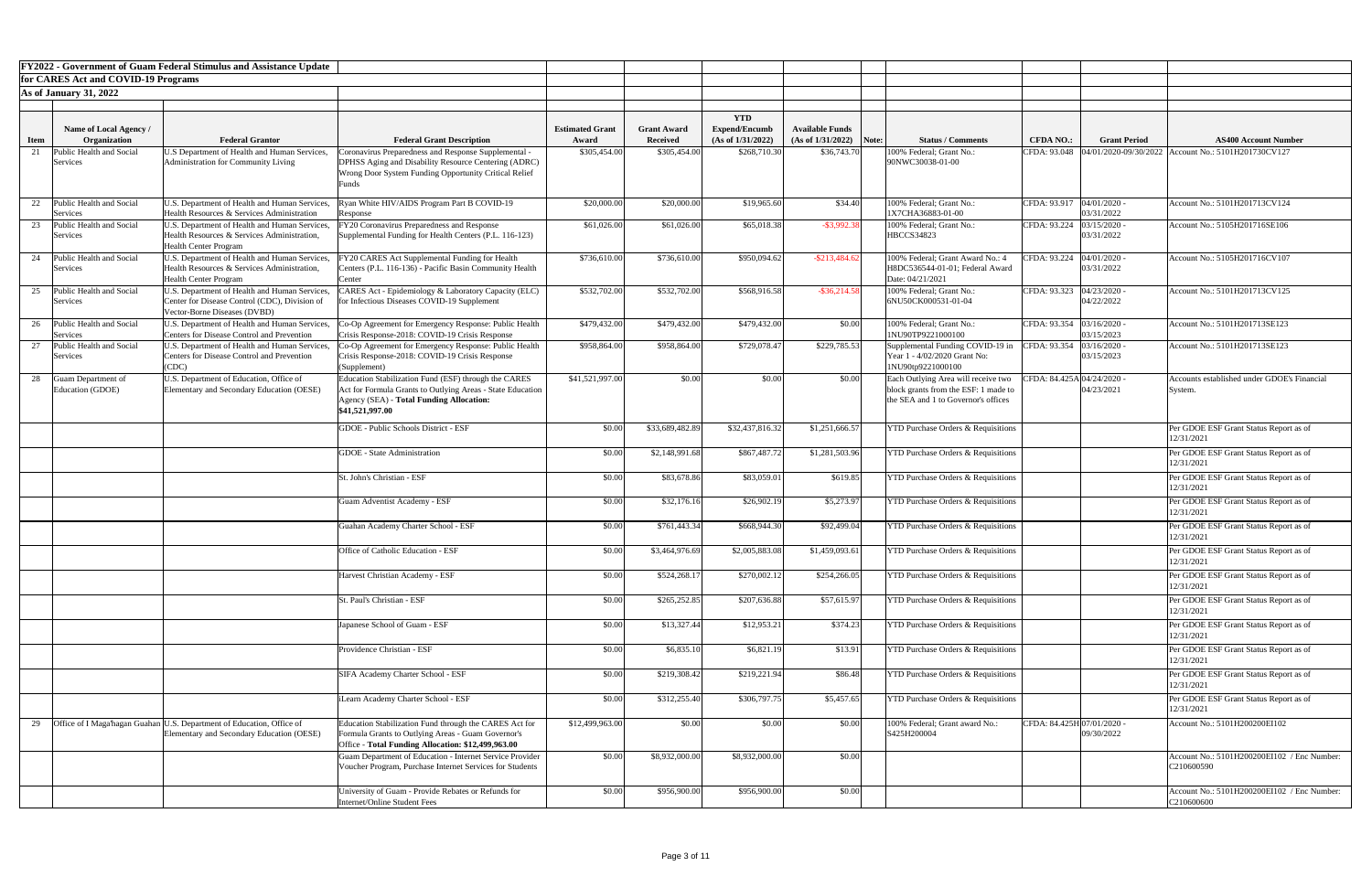|      |                                             | <b>FY2022 - Government of Guam Federal Stimulus and Assistance Update</b>                                                      |                                                                                                                                                                                   |                        |                    |                      |                                    |                                                                                                                    |                            |                          |                                                                     |
|------|---------------------------------------------|--------------------------------------------------------------------------------------------------------------------------------|-----------------------------------------------------------------------------------------------------------------------------------------------------------------------------------|------------------------|--------------------|----------------------|------------------------------------|--------------------------------------------------------------------------------------------------------------------|----------------------------|--------------------------|---------------------------------------------------------------------|
|      | for CARES Act and COVID-19 Programs         |                                                                                                                                |                                                                                                                                                                                   |                        |                    |                      |                                    |                                                                                                                    |                            |                          |                                                                     |
|      | <b>As of January 31, 2022</b>               |                                                                                                                                |                                                                                                                                                                                   |                        |                    |                      |                                    |                                                                                                                    |                            |                          |                                                                     |
|      |                                             |                                                                                                                                |                                                                                                                                                                                   |                        |                    | <b>YTD</b>           |                                    |                                                                                                                    |                            |                          |                                                                     |
|      | <b>Name of Local Agency /</b>               |                                                                                                                                |                                                                                                                                                                                   | <b>Estimated Grant</b> | <b>Grant Award</b> | <b>Expend/Encumb</b> | <b>Available Funds</b>             |                                                                                                                    |                            |                          |                                                                     |
| Item | Organization                                | <b>Federal Grantor</b>                                                                                                         | <b>Federal Grant Description</b>                                                                                                                                                  | Award                  | <b>Received</b>    | (As of 1/31/2022)    | $(As \text{ of } 1/31/2022)$ Note: | <b>Status / Comments</b>                                                                                           | <b>CFDA NO.:</b>           | <b>Grant Period</b>      | <b>AS400 Account Number</b>                                         |
|      | Public Health and Social<br><b>Services</b> | U.S Department of Health and Human Services,<br>Administration for Community Living                                            | 'oronavirus Preparedness and Response Supplemental -<br>DPHSS Aging and Disability Resource Centering (ADRC)<br>Wrong Door System Funding Opportunity Critical Relief<br>∙unds    | \$305,454.00           | \$305,454.00       | \$268,710.30         | \$36,743.70                        | 100% Federal; Grant No.:<br>90NWC30038-01-00                                                                       |                            |                          | CFDA: 93.048  04/01/2020-09/30/2022   Account No.: 5101H201730CV127 |
|      | Public Health and Social<br>Services        | U.S. Department of Health and Human Services,<br>Health Resources & Services Administration                                    | Ryan White HIV/AIDS Program Part B COVID-19<br>Response                                                                                                                           | \$20,000.00            | \$20,000.00        | \$19,965.60          | \$34.40                            | 100% Federal; Grant No.:<br>1X7CHA36883-01-00                                                                      | CFDA: 93.917 04/01/2020    | 03/31/2022               | Account No.: 5101H201713CV124                                       |
| 23   | Public Health and Social<br>Services        | U.S. Department of Health and Human Services,<br>Health Resources & Services Administration,<br><b>Health Center Program</b>   | FY20 Coronavirus Preparedness and Response<br>Supplemental Funding for Health Centers (P.L. 116-123)                                                                              | \$61,026.00            | \$61,026.00        | \$65,018.38          | $-$ \$3,992.38                     | 100% Federal; Grant No.:<br><b>HBCCS34823</b>                                                                      | CFDA: 93.224               | 03/15/2020<br>03/31/2022 | Account No.: 5105H201716SE106                                       |
|      | 24 Public Health and Social<br>Services     | U.S. Department of Health and Human Services,<br>Health Resources & Services Administration,<br><b>Health Center Program</b>   | FY20 CARES Act Supplemental Funding for Health<br>Centers (P.L. 116-136) - Pacific Basin Community Health<br>Center                                                               | \$736,610.00           | \$736,610.00       | \$950,094.62         | $-$ \$213,484.62                   | 100% Federal; Grant Award No.: 4<br>H8DC536544-01-01; Federal Award<br>Date: 04/21/2021                            | CFDA: 93.224               | 04/01/2020<br>03/31/2022 | Account No.: 5105H201716CV107                                       |
|      | 25 Public Health and Social<br>Services     | U.S. Department of Health and Human Services,<br>Center for Disease Control (CDC), Division of<br>Vector-Borne Diseases (DVBD) | CARES Act - Epidemiology & Laboratory Capacity (ELC)<br>for Infectious Diseases COVID-19 Supplement                                                                               | \$532,702.00           | \$532,702.00       | \$568,916.58         | $-$ \$36,214.58                    | 100% Federal; Grant No.:<br>6NU50CK000531-01-04                                                                    | CFDA: 93.323 04/23/2020    | 04/22/2022               | Account No.: 5101H201713CV125                                       |
|      | 26 Public Health and Social<br>Services     | U.S. Department of Health and Human Services,<br>Centers for Disease Control and Prevention                                    | Co-Op Agreement for Emergency Response: Public Health<br>Crisis Response-2018: COVID-19 Crisis Response                                                                           | \$479,432.00           | \$479,432.00       | \$479,432.00         | \$0.00                             | 100% Federal; Grant No.:<br>1NU90TP9221000100                                                                      | CFDA: 93.354 03/16/2020    | 03/15/2023               | Account No.: 5101H201713SE123                                       |
| 27   | Public Health and Social<br>Services        | U.S. Department of Health and Human Services,<br>Centers for Disease Control and Prevention<br>(CDC)                           | Co-Op Agreement for Emergency Response: Public Health<br>Crisis Response-2018: COVID-19 Crisis Response<br>(Supplement)                                                           | \$958,864.00           | \$958,864.00       | \$729,078.47         | \$229,785.53                       | Supplemental Funding COVID-19 in<br>Year 1 - 4/02/2020 Grant No:<br>1NU90tp9221000100                              | CFDA: 93.354               | 03/16/2020<br>03/15/2023 | Account No.: 5101H201713SE123                                       |
| 28   | Guam Department of<br>Education (GDOE)      | U.S. Department of Education, Office of<br>Elementary and Secondary Education (OESE)                                           | Education Stabilization Fund (ESF) through the CARES<br>Act for Formula Grants to Outlying Areas - State Education<br>Agency (SEA) - Total Funding Allocation:<br>\$41,521,997.00 | \$41,521,997.00        | \$0.00             | \$0.00               | \$0.00                             | Each Outlying Area will receive two<br>block grants from the ESF: 1 made to<br>the SEA and 1 to Governor's offices | CFDA: 84.425A 04/24/2020   | 04/23/2021               | Accounts established under GDOE's Financial<br>System.              |
|      |                                             |                                                                                                                                | <b>GDOE</b> - Public Schools District - ESF                                                                                                                                       | \$0.00                 | \$33,689,482.89    | \$32,437,816.32      | \$1,251,666.57                     | <b>YTD Purchase Orders &amp; Requisitions</b>                                                                      |                            |                          | Per GDOE ESF Grant Status Report as of<br>12/31/2021                |
|      |                                             |                                                                                                                                | <b>GDOE</b> - State Administration                                                                                                                                                | \$0.00                 | \$2,148,991.68     | \$867,487.72         | \$1,281,503.96                     | <b>YTD Purchase Orders &amp; Requisitions</b>                                                                      |                            |                          | Per GDOE ESF Grant Status Report as of<br>12/31/2021                |
|      |                                             |                                                                                                                                | St. John's Christian - ESF                                                                                                                                                        | \$0.00                 | \$83,678.86        | \$83,059.01          | \$619.85                           | <b>YTD Purchase Orders &amp; Requisitions</b>                                                                      |                            |                          | Per GDOE ESF Grant Status Report as of<br>12/31/2021                |
|      |                                             |                                                                                                                                | <b>Guam Adventist Academy - ESF</b>                                                                                                                                               | \$0.00                 | \$32,176.16        | \$26,902.19          | \$5,273.97                         | <b>YTD Purchase Orders &amp; Requisitions</b>                                                                      |                            |                          | Per GDOE ESF Grant Status Report as of<br>12/31/2021                |
|      |                                             |                                                                                                                                | Guahan Academy Charter School - ESF                                                                                                                                               | \$0.00                 | \$761,443.34       | \$668,944.30         | \$92,499.04                        | <b>YTD Purchase Orders &amp; Requisitions</b>                                                                      |                            |                          | Per GDOE ESF Grant Status Report as of<br>12/31/2021                |
|      |                                             |                                                                                                                                | Office of Catholic Education - ESF                                                                                                                                                | \$0.00                 | \$3,464,976.69     | \$2,005,883.08       | \$1,459,093.6                      | <b>YTD Purchase Orders &amp; Requisitions</b>                                                                      |                            |                          | Per GDOE ESF Grant Status Report as of<br>12/31/2021                |
|      |                                             |                                                                                                                                | Harvest Christian Academy - ESF                                                                                                                                                   | \$0.00                 | \$524,268.1        | \$270,002.12         | \$254,266.05                       | <b>YTD Purchase Orders &amp; Requisitions</b>                                                                      |                            |                          | Per GDOE ESF Grant Status Report as of<br>12/31/2021                |
|      |                                             |                                                                                                                                | St. Paul's Christian - ESF                                                                                                                                                        | \$0.00                 | \$265,252.85       | \$207,636.88         | \$57,615.97                        | <b>YTD Purchase Orders &amp; Requisitions</b>                                                                      |                            |                          | Per GDOE ESF Grant Status Report as of<br>12/31/2021                |
|      |                                             |                                                                                                                                | Japanese School of Guam - ESF                                                                                                                                                     | \$0.00                 | \$13,327.44        | \$12,953.21          | \$374.23                           | <b>YTD Purchase Orders &amp; Requisitions</b>                                                                      |                            |                          | Per GDOE ESF Grant Status Report as of<br>12/31/2021                |
|      |                                             |                                                                                                                                | Providence Christian - ESF                                                                                                                                                        | \$0.00                 | \$6,835.10         | \$6,821.19           | \$13.91                            | <b>YTD Purchase Orders &amp; Requisitions</b>                                                                      |                            |                          | Per GDOE ESF Grant Status Report as of<br>12/31/2021                |
|      |                                             |                                                                                                                                | <b>SIFA Academy Charter School - ESF</b>                                                                                                                                          | \$0.00                 | \$219,308.42       | \$219,221.94         | \$86.48                            | <b>YTD Purchase Orders &amp; Requisitions</b>                                                                      |                            |                          | Per GDOE ESF Grant Status Report as of<br>12/31/2021                |
|      |                                             |                                                                                                                                | iLearn Academy Charter School - ESF                                                                                                                                               | \$0.00                 | \$312,255.40       | \$306,797.75         | \$5,457.65                         | <b>YTD Purchase Orders &amp; Requisitions</b>                                                                      |                            |                          | Per GDOE ESF Grant Status Report as of<br>12/31/2021                |
|      |                                             | Office of I Maga hagan Guahan U.S. Department of Education, Office of<br>Elementary and Secondary Education (OESE)             | Education Stabilization Fund through the CARES Act for<br>Formula Grants to Outlying Areas - Guam Governor's<br>Office - Total Funding Allocation: \$12,499,963.00                | \$12,499,963.00        | \$0.00             | \$0.00               | \$0.00                             | 100% Federal; Grant award No.:<br>S425H200004                                                                      | CFDA: 84.425H 07/01/2020 - | 09/30/2022               | Account No.: 5101H200200EI102                                       |
|      |                                             |                                                                                                                                | Guam Department of Education - Internet Service Provider<br>Voucher Program, Purchase Internet Services for Students                                                              | \$0.00                 | \$8,932,000.00     | \$8,932,000.00       | \$0.00                             |                                                                                                                    |                            |                          | Account No.: 5101H200200EI102 / Enc Number:<br>C210600590           |
|      |                                             |                                                                                                                                | University of Guam - Provide Rebates or Refunds for<br>Internet/Online Student Fees                                                                                               | \$0.00                 | \$956,900.00       | \$956,900.00         | \$0.00                             |                                                                                                                    |                            |                          | Account No.: 5101H200200EI102 / Enc Number:<br>C210600600           |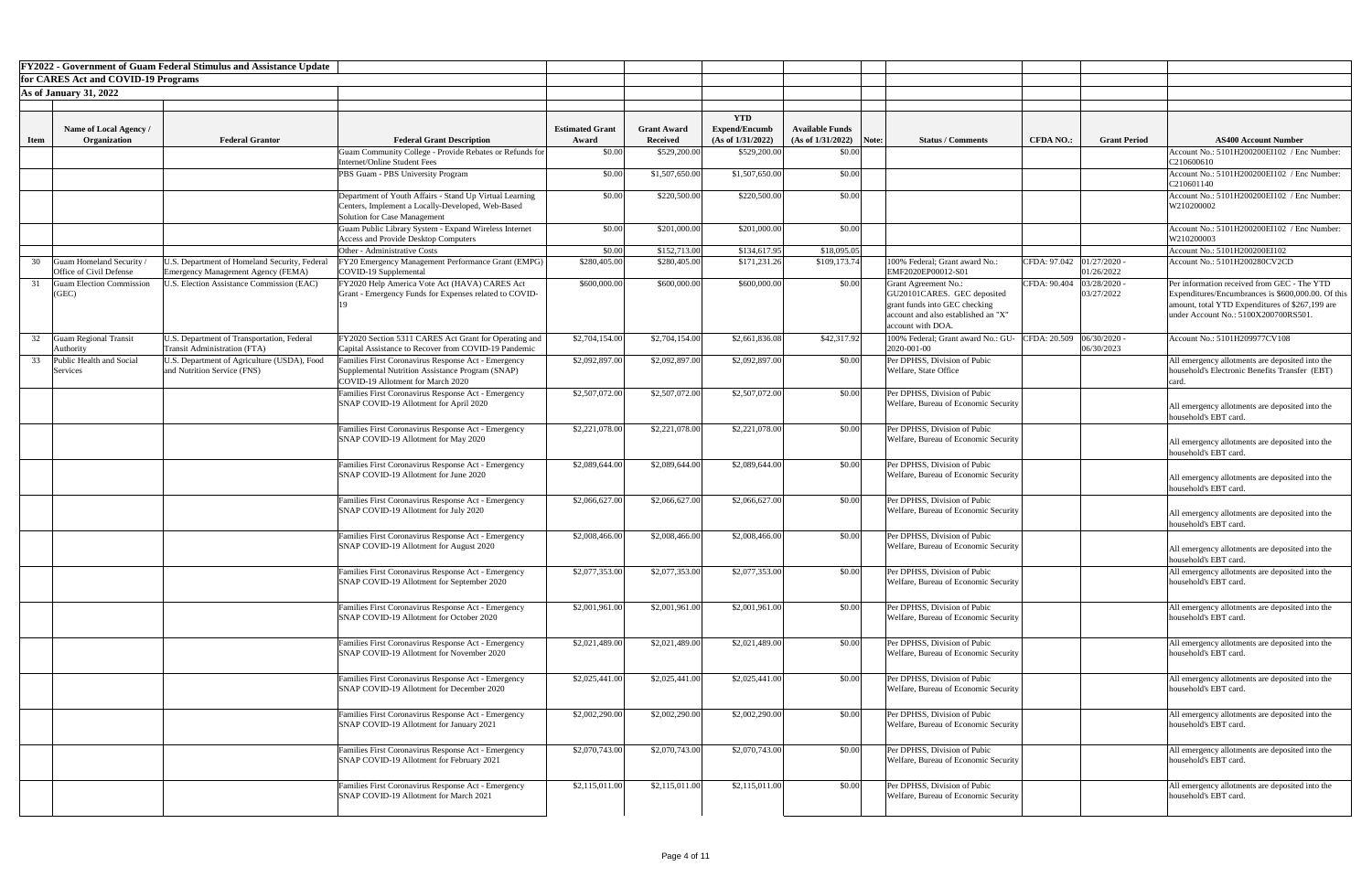|             |                                           | <b>FY2022 - Government of Guam Federal Stimulus and Assistance Update</b>  |                                                                                                               |                        |                    |                                    |                           |                                                                                                                                                  |                  |                                       |                                                                                                                                                                                              |
|-------------|-------------------------------------------|----------------------------------------------------------------------------|---------------------------------------------------------------------------------------------------------------|------------------------|--------------------|------------------------------------|---------------------------|--------------------------------------------------------------------------------------------------------------------------------------------------|------------------|---------------------------------------|----------------------------------------------------------------------------------------------------------------------------------------------------------------------------------------------|
|             | for CARES Act and COVID-19 Programs       |                                                                            |                                                                                                               |                        |                    |                                    |                           |                                                                                                                                                  |                  |                                       |                                                                                                                                                                                              |
|             | <b>As of January 31, 2022</b>             |                                                                            |                                                                                                               |                        |                    |                                    |                           |                                                                                                                                                  |                  |                                       |                                                                                                                                                                                              |
|             |                                           |                                                                            |                                                                                                               |                        |                    |                                    |                           |                                                                                                                                                  |                  |                                       |                                                                                                                                                                                              |
|             | Name of Local Agency /                    |                                                                            |                                                                                                               | <b>Estimated Grant</b> | <b>Grant Award</b> | <b>YTD</b><br><b>Expend/Encumb</b> | <b>Available Funds</b>    |                                                                                                                                                  |                  |                                       |                                                                                                                                                                                              |
| <b>Item</b> | Organization                              | <b>Federal Grantor</b>                                                     | <b>Federal Grant Description</b>                                                                              | Award                  | <b>Received</b>    | (As of 1/31/2022)                  | $(As of 1/31/2022)$ Note: | <b>Status / Comments</b>                                                                                                                         | <b>CFDA NO.:</b> | <b>Grant Period</b>                   | <b>AS400 Account Number</b>                                                                                                                                                                  |
|             |                                           |                                                                            | Guam Community College - Provide Rebates or Refunds for                                                       | \$0.00                 | \$529,200.00       | \$529,200.00                       | \$0.00                    |                                                                                                                                                  |                  |                                       | Account No.: 5101H200200EI102 / Enc Number:                                                                                                                                                  |
|             |                                           |                                                                            | Internet/Online Student Fees                                                                                  |                        |                    |                                    |                           |                                                                                                                                                  |                  |                                       | C210600610                                                                                                                                                                                   |
|             |                                           |                                                                            | PBS Guam - PBS University Program                                                                             | \$0.00                 | \$1,507,650.00     | \$1,507,650.00                     | \$0.00                    |                                                                                                                                                  |                  |                                       | Account No.: 5101H200200EI102 / Enc Number:<br>C210601140                                                                                                                                    |
|             |                                           |                                                                            | Department of Youth Affairs - Stand Up Virtual Learning<br>Centers, Implement a Locally-Developed, Web-Based  | \$0.00                 | \$220,500.00       | \$220,500.00                       | \$0.00                    |                                                                                                                                                  |                  |                                       | Account No.: 5101H200200EI102 / Enc Number:<br>W210200002                                                                                                                                    |
|             |                                           |                                                                            | Solution for Case Management<br>Guam Public Library System - Expand Wireless Internet                         | \$0.00                 | \$201,000.00       | \$201,000.00                       | \$0.00                    |                                                                                                                                                  |                  |                                       | Account No.: 5101H200200EI102 / Enc Number:                                                                                                                                                  |
|             |                                           |                                                                            | <b>Access and Provide Desktop Computers</b><br>Other - Administrative Costs                                   | \$0.00                 | \$152,713.00       | \$134,617.95                       | \$18,095.05               |                                                                                                                                                  |                  |                                       | W210200003<br>Account No.: 5101H200200EI102                                                                                                                                                  |
|             | uam Homeland Security                     | J.S. Department of Homeland Security, Federal                              | FY20 Emergency Management Performance Grant (EMPG)                                                            | \$280,405.00           | \$280,405.00       | \$171,231.26                       | \$109,173.74              | 100% Federal; Grant award No.:                                                                                                                   | CFDA: 97.042     | 01/27/2020                            | Account No.: 5101H200280CV2CD                                                                                                                                                                |
|             | Office of Civil Defense                   | Emergency Management Agency (FEMA)                                         | COVID-19 Supplemental                                                                                         |                        |                    |                                    |                           | EMF2020EP00012-S01                                                                                                                               |                  | 01/26/2022                            |                                                                                                                                                                                              |
|             | Guam Election Commission<br>(GEC)         | <b>J.S. Election Assistance Commission (EAC)</b>                           | FY2020 Help America Vote Act (HAVA) CARES Act<br>Grant - Emergency Funds for Expenses related to COVID-       | \$600,000.00           | \$600,000.00       | \$600,000.00                       | \$0.00                    | Grant Agreement No.:<br>GU20101CARES. GEC deposited<br>grant funds into GEC checking<br>account and also established an "X"<br>account with DOA. |                  | CFDA: 90.404 03/28/2020<br>03/27/2022 | Per information received from GEC - The YTD<br>Expenditures/Encumbrances is \$600,000.00. Of this<br>amount, total YTD Expenditures of \$267,199 are<br>under Account No.: 5100X200700RS501. |
| 32          | <b>Guam Regional Transit</b><br>Authority | U.S. Department of Transportation, Federal<br>Transit Administration (FTA) | FY2020 Section 5311 CARES Act Grant for Operating and<br>Capital Assistance to Recover from COVID-19 Pandemic | \$2,704,154.00         | \$2,704,154.00     | \$2,661,836.08                     | \$42,317.92               | 100% Federal; Grant award No.: GU-<br>2020-001-00                                                                                                |                  | CFDA: 20.509 06/30/2020<br>06/30/2023 | Account No.: 5101H209977CV108                                                                                                                                                                |
|             | Public Health and Social                  | U.S. Department of Agriculture (USDA), Food                                | Families First Coronavirus Response Act - Emergency                                                           | \$2,092,897.00         | \$2,092,897.00     | \$2,092,897.00                     | \$0.00                    | Per DPHSS, Division of Pubic                                                                                                                     |                  |                                       | All emergency allotments are deposited into the                                                                                                                                              |
|             | Services                                  | and Nutrition Service (FNS)                                                | Supplemental Nutrition Assistance Program (SNAP)<br>COVID-19 Allotment for March 2020                         |                        |                    |                                    |                           | Welfare, State Office                                                                                                                            |                  |                                       | household's Electronic Benefits Transfer (EBT)                                                                                                                                               |
|             |                                           |                                                                            | Families First Coronavirus Response Act - Emergency<br>SNAP COVID-19 Allotment for April 2020                 | \$2,507,072.00         | \$2,507,072.00     | \$2,507,072.00                     | \$0.00                    | Per DPHSS, Division of Pubic<br>Welfare, Bureau of Economic Security                                                                             |                  |                                       | All emergency allotments are deposited into the<br>household's EBT card.                                                                                                                     |
|             |                                           |                                                                            | Families First Coronavirus Response Act - Emergency                                                           | \$2,221,078.00         | \$2,221,078.00     | \$2,221,078.00                     | \$0.00                    | Per DPHSS, Division of Pubic                                                                                                                     |                  |                                       |                                                                                                                                                                                              |
|             |                                           |                                                                            | SNAP COVID-19 Allotment for May 2020                                                                          |                        |                    |                                    |                           | Welfare, Bureau of Economic Security                                                                                                             |                  |                                       | All emergency allotments are deposited into the<br>household's EBT card.                                                                                                                     |
|             |                                           |                                                                            | Families First Coronavirus Response Act - Emergency                                                           | \$2,089,644.00         | \$2,089,644.00     | \$2,089,644.00                     | \$0.00                    | Per DPHSS, Division of Pubic                                                                                                                     |                  |                                       |                                                                                                                                                                                              |
|             |                                           |                                                                            | SNAP COVID-19 Allotment for June 2020                                                                         |                        |                    |                                    |                           | Welfare, Bureau of Economic Security                                                                                                             |                  |                                       | All emergency allotments are deposited into the<br>household's EBT card.                                                                                                                     |
|             |                                           |                                                                            | Families First Coronavirus Response Act - Emergency<br>SNAP COVID-19 Allotment for July 2020                  | \$2,066,627.00         | \$2,066,627.00     | \$2,066,627.00                     | \$0.00                    | Per DPHSS, Division of Pubic<br>Welfare, Bureau of Economic Security                                                                             |                  |                                       | All emergency allotments are deposited into the                                                                                                                                              |
|             |                                           |                                                                            |                                                                                                               |                        |                    |                                    |                           |                                                                                                                                                  |                  |                                       | household's EBT card.                                                                                                                                                                        |
|             |                                           |                                                                            | Families First Coronavirus Response Act - Emergency<br>SNAP COVID-19 Allotment for August 2020                | \$2,008,466.00         | \$2,008,466.00     | \$2,008,466.00                     | \$0.00                    | Per DPHSS, Division of Pubic<br>Welfare, Bureau of Economic Security                                                                             |                  |                                       | All emergency allotments are deposited into the<br>household's EBT card.                                                                                                                     |
|             |                                           |                                                                            | Families First Coronavirus Response Act - Emergency                                                           | \$2,077,353.00         | \$2,077,353.00     | \$2,077,353.00                     | \$0.00                    | Per DPHSS, Division of Pubic                                                                                                                     |                  |                                       | All emergency allotments are deposited into the                                                                                                                                              |
|             |                                           |                                                                            | SNAP COVID-19 Allotment for September 2020                                                                    |                        |                    |                                    |                           | Welfare, Bureau of Economic Security                                                                                                             |                  |                                       | household's EBT card.                                                                                                                                                                        |
|             |                                           |                                                                            | Families First Coronavirus Response Act - Emergency                                                           | \$2,001,961.00         | \$2,001,961.00     | \$2,001,961.00                     | \$0.00                    | Per DPHSS, Division of Pubic                                                                                                                     |                  |                                       | All emergency allotments are deposited into the                                                                                                                                              |
|             |                                           |                                                                            | SNAP COVID-19 Allotment for October 2020                                                                      |                        |                    |                                    |                           | Welfare, Bureau of Economic Security                                                                                                             |                  |                                       | household's EBT card.                                                                                                                                                                        |
|             |                                           |                                                                            | Families First Coronavirus Response Act - Emergency<br>SNAP COVID-19 Allotment for November 2020              | \$2,021,489.00         | \$2,021,489.00     | \$2,021,489.00                     | \$0.00                    | Per DPHSS, Division of Pubic                                                                                                                     |                  |                                       | All emergency allotments are deposited into the<br>household's EBT card.                                                                                                                     |
|             |                                           |                                                                            |                                                                                                               |                        |                    |                                    |                           | Welfare, Bureau of Economic Security                                                                                                             |                  |                                       |                                                                                                                                                                                              |
|             |                                           |                                                                            | Families First Coronavirus Response Act - Emergency<br>SNAP COVID-19 Allotment for December 2020              | \$2,025,441.00         | \$2,025,441.00     | \$2,025,441.00                     | \$0.00                    | Per DPHSS, Division of Pubic<br>Welfare, Bureau of Economic Security                                                                             |                  |                                       | All emergency allotments are deposited into the<br>household's EBT card.                                                                                                                     |
|             |                                           |                                                                            |                                                                                                               |                        |                    |                                    |                           |                                                                                                                                                  |                  |                                       |                                                                                                                                                                                              |
|             |                                           |                                                                            | Families First Coronavirus Response Act - Emergency<br>SNAP COVID-19 Allotment for January 2021               | \$2,002,290.00         | \$2,002,290.00     | \$2,002,290.00                     | \$0.00                    | Per DPHSS, Division of Pubic<br>Welfare, Bureau of Economic Security                                                                             |                  |                                       | All emergency allotments are deposited into the<br>household's EBT card.                                                                                                                     |
|             |                                           |                                                                            | Families First Coronavirus Response Act - Emergency                                                           | \$2,070,743.00         | \$2,070,743.00     | \$2,070,743.00                     | \$0.00                    | Per DPHSS, Division of Pubic                                                                                                                     |                  |                                       | All emergency allotments are deposited into the                                                                                                                                              |
|             |                                           |                                                                            | SNAP COVID-19 Allotment for February 2021                                                                     |                        |                    |                                    |                           | Welfare, Bureau of Economic Security                                                                                                             |                  |                                       | household's EBT card.                                                                                                                                                                        |
|             |                                           |                                                                            | Families First Coronavirus Response Act - Emergency                                                           | \$2,115,011.00         | \$2,115,011.00     | \$2,115,011.00                     | \$0.00                    | Per DPHSS, Division of Pubic                                                                                                                     |                  |                                       | All emergency allotments are deposited into the                                                                                                                                              |
|             |                                           |                                                                            | SNAP COVID-19 Allotment for March 2021                                                                        |                        |                    |                                    |                           | Welfare, Bureau of Economic Security                                                                                                             |                  |                                       | household's EBT card.                                                                                                                                                                        |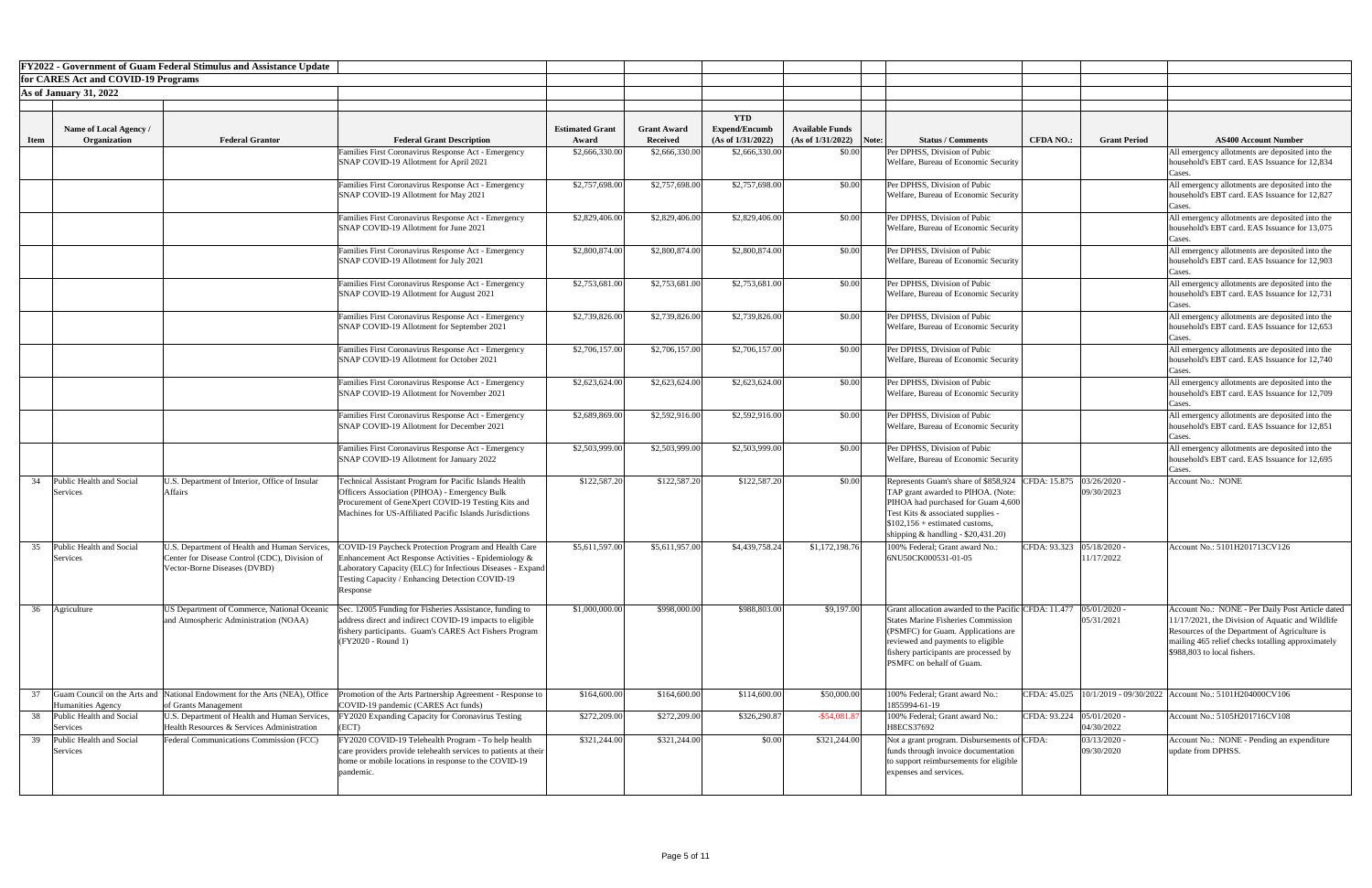|             |                                               | <b>FY2022 - Government of Guam Federal Stimulus and Assistance Update</b> |                                                                                                                                      |                        |                    |                                    |                           |                                                                                    |                             |                              |                                                                                                      |
|-------------|-----------------------------------------------|---------------------------------------------------------------------------|--------------------------------------------------------------------------------------------------------------------------------------|------------------------|--------------------|------------------------------------|---------------------------|------------------------------------------------------------------------------------|-----------------------------|------------------------------|------------------------------------------------------------------------------------------------------|
|             | for CARES Act and COVID-19 Programs           |                                                                           |                                                                                                                                      |                        |                    |                                    |                           |                                                                                    |                             |                              |                                                                                                      |
|             | <b>As of January 31, 2022</b>                 |                                                                           |                                                                                                                                      |                        |                    |                                    |                           |                                                                                    |                             |                              |                                                                                                      |
|             |                                               |                                                                           |                                                                                                                                      |                        |                    |                                    |                           |                                                                                    |                             |                              |                                                                                                      |
|             | Name of Local Agency /                        |                                                                           |                                                                                                                                      | <b>Estimated Grant</b> | <b>Grant Award</b> | <b>YTD</b><br><b>Expend/Encumb</b> | <b>Available Funds</b>    |                                                                                    |                             |                              |                                                                                                      |
| <b>Item</b> | Organization                                  | <b>Federal Grantor</b>                                                    | <b>Federal Grant Description</b>                                                                                                     | Award                  | <b>Received</b>    | (As of 1/31/2022)                  | $(As of 1/31/2022)$ Note: | <b>Status / Comments</b>                                                           | <b>CFDA NO.:</b>            | <b>Grant Period</b>          | <b>AS400 Account Number</b>                                                                          |
|             |                                               |                                                                           | Families First Coronavirus Response Act - Emergency                                                                                  | \$2,666,330.00         | \$2,666,330.00     | \$2,666,330.00                     | \$0.00                    | Per DPHSS, Division of Pubic                                                       |                             |                              | All emergency allotments are deposited into the                                                      |
|             |                                               |                                                                           | SNAP COVID-19 Allotment for April 2021                                                                                               |                        |                    |                                    |                           | Welfare, Bureau of Economic Security                                               |                             |                              | household's EBT card. EAS Issuance for 12,834                                                        |
|             |                                               |                                                                           |                                                                                                                                      |                        |                    |                                    |                           |                                                                                    |                             |                              | lases.                                                                                               |
|             |                                               |                                                                           | Families First Coronavirus Response Act - Emergency                                                                                  | \$2,757,698.00         | \$2,757,698.00     | \$2,757,698.00                     | \$0.00                    | Per DPHSS, Division of Pubic<br><b>Welfare, Bureau of Economic Security</b>        |                             |                              | All emergency allotments are deposited into the<br>household's EBT card. EAS Issuance for 12,827     |
|             |                                               |                                                                           | SNAP COVID-19 Allotment for May 2021                                                                                                 |                        |                    |                                    |                           |                                                                                    |                             |                              | Cases.                                                                                               |
|             |                                               |                                                                           | Families First Coronavirus Response Act - Emergency                                                                                  | \$2,829,406.00         | \$2,829,406.00     | \$2,829,406.00                     | \$0.00                    | Per DPHSS, Division of Pubic                                                       |                             |                              | All emergency allotments are deposited into the                                                      |
|             |                                               |                                                                           | SNAP COVID-19 Allotment for June 2021                                                                                                |                        |                    |                                    |                           | <b>Welfare, Bureau of Economic Security</b>                                        |                             |                              | household's EBT card. EAS Issuance for 13,075                                                        |
|             |                                               |                                                                           |                                                                                                                                      | \$2,800,874.00         | \$2,800,874.00     | \$2,800,874.00                     |                           | Per DPHSS, Division of Pubic                                                       |                             |                              |                                                                                                      |
|             |                                               |                                                                           | Families First Coronavirus Response Act - Emergency<br>SNAP COVID-19 Allotment for July 2021                                         |                        |                    |                                    | \$0.00                    | Welfare, Bureau of Economic Security                                               |                             |                              | All emergency allotments are deposited into the<br>household's EBT card. EAS Issuance for 12,903     |
|             |                                               |                                                                           |                                                                                                                                      |                        |                    |                                    |                           |                                                                                    |                             |                              | ases.                                                                                                |
|             |                                               |                                                                           | Families First Coronavirus Response Act - Emergency                                                                                  | \$2,753,681.00         | \$2,753,681.00     | \$2,753,681.00                     | \$0.00                    | Per DPHSS, Division of Pubic                                                       |                             |                              | All emergency allotments are deposited into the                                                      |
|             |                                               |                                                                           | SNAP COVID-19 Allotment for August 2021                                                                                              |                        |                    |                                    |                           | Welfare, Bureau of Economic Security                                               |                             |                              | household's EBT card. EAS Issuance for 12,731                                                        |
|             |                                               |                                                                           | Families First Coronavirus Response Act - Emergency                                                                                  | \$2,739,826.00         | \$2,739,826.00     | \$2,739,826.00                     | \$0.00                    | Per DPHSS, Division of Pubic                                                       |                             |                              | lases.<br>All emergency allotments are deposited into the                                            |
|             |                                               |                                                                           | SNAP COVID-19 Allotment for September 2021                                                                                           |                        |                    |                                    |                           | Welfare, Bureau of Economic Security                                               |                             |                              | household's EBT card. EAS Issuance for 12,653                                                        |
|             |                                               |                                                                           |                                                                                                                                      |                        |                    |                                    |                           |                                                                                    |                             |                              | Cases.                                                                                               |
|             |                                               |                                                                           | Families First Coronavirus Response Act - Emergency                                                                                  | \$2,706,157.00         | \$2,706,157.00     | \$2,706,157.00                     | \$0.00                    | Per DPHSS, Division of Pubic                                                       |                             |                              | All emergency allotments are deposited into the                                                      |
|             |                                               |                                                                           | SNAP COVID-19 Allotment for October 2021                                                                                             |                        |                    |                                    |                           | Welfare, Bureau of Economic Security                                               |                             |                              | household's EBT card. EAS Issuance for 12,740<br>Cases.                                              |
|             |                                               |                                                                           | Families First Coronavirus Response Act - Emergency                                                                                  | \$2,623,624.00         | \$2,623,624.00     | \$2,623,624.00                     | \$0.00                    | Per DPHSS, Division of Pubic                                                       |                             |                              | All emergency allotments are deposited into the                                                      |
|             |                                               |                                                                           | SNAP COVID-19 Allotment for November 2021                                                                                            |                        |                    |                                    |                           | <b>Welfare, Bureau of Economic Security</b>                                        |                             |                              | household's EBT card. EAS Issuance for 12,709                                                        |
|             |                                               |                                                                           |                                                                                                                                      |                        |                    |                                    |                           |                                                                                    |                             |                              | Cases.                                                                                               |
|             |                                               |                                                                           | Families First Coronavirus Response Act - Emergency<br>SNAP COVID-19 Allotment for December 2021                                     | \$2,689,869.00         | \$2,592,916.00     | \$2,592,916.00                     | \$0.00                    | Per DPHSS, Division of Pubic<br>Welfare, Bureau of Economic Security               |                             |                              | All emergency allotments are deposited into the<br>household's EBT card. EAS Issuance for 12,851     |
|             |                                               |                                                                           |                                                                                                                                      |                        |                    |                                    |                           |                                                                                    |                             |                              | Cases.                                                                                               |
|             |                                               |                                                                           | Families First Coronavirus Response Act - Emergency                                                                                  | \$2,503,999.00         | \$2,503,999.00     | \$2,503,999.00                     | \$0.00                    | Per DPHSS, Division of Pubic                                                       |                             |                              | All emergency allotments are deposited into the                                                      |
|             |                                               |                                                                           | SNAP COVID-19 Allotment for January 2022                                                                                             |                        |                    |                                    |                           | Welfare, Bureau of Economic Security                                               |                             |                              | household's EBT card. EAS Issuance for 12,695                                                        |
| 34          | Public Health and Social                      | U.S. Department of Interior, Office of Insular                            | Technical Assistant Program for Pacific Islands Health                                                                               | \$122,587.20           | \$122,587.20       | \$122,587.20                       | \$0.00                    | Represents Guam's share of \$858,924 CFDA: 15.875 03/26/2020 -                     |                             |                              | Cases.<br>Account No.: NONE                                                                          |
|             | Services                                      | <b>Affairs</b>                                                            | Officers Association (PIHOA) - Emergency Bulk                                                                                        |                        |                    |                                    |                           | TAP grant awarded to PIHOA. (Note:                                                 |                             | 09/30/2023                   |                                                                                                      |
|             |                                               |                                                                           | Procurement of GeneXpert COVID-19 Testing Kits and                                                                                   |                        |                    |                                    |                           | PIHOA had purchased for Guam 4,600                                                 |                             |                              |                                                                                                      |
|             |                                               |                                                                           | Machines for US-Affiliated Pacific Islands Jurisdictions                                                                             |                        |                    |                                    |                           | Test Kits & associated supplies -                                                  |                             |                              |                                                                                                      |
|             |                                               |                                                                           |                                                                                                                                      |                        |                    |                                    |                           | $$102,156 + estimated customs,$<br>shipping $&$ handling - \$20,431.20)            |                             |                              |                                                                                                      |
| 35          | Public Health and Social                      | U.S. Department of Health and Human Services,                             | COVID-19 Paycheck Protection Program and Health Care                                                                                 | \$5,611,597.00         | \$5,611,957.00     | \$4,439,758.24                     | \$1,172,198.76            | 100% Federal; Grant award No.:                                                     | CFDA: 93.323 05/18/2020 -   |                              | Account No.: 5101H201713CV126                                                                        |
|             | <b>Services</b>                               | Center for Disease Control (CDC), Division of                             | Enhancement Act Response Activities - Epidemiology &                                                                                 |                        |                    |                                    |                           | 6NU50CK000531-01-05                                                                |                             | 11/17/2022                   |                                                                                                      |
|             |                                               | Vector-Borne Diseases (DVBD)                                              | Laboratory Capacity (ELC) for Infectious Diseases - Expand                                                                           |                        |                    |                                    |                           |                                                                                    |                             |                              |                                                                                                      |
|             |                                               |                                                                           | <b>Testing Capacity / Enhancing Detection COVID-19</b><br>Response                                                                   |                        |                    |                                    |                           |                                                                                    |                             |                              |                                                                                                      |
|             |                                               |                                                                           |                                                                                                                                      |                        |                    |                                    |                           |                                                                                    |                             |                              |                                                                                                      |
|             | 36 Agriculture                                | US Department of Commerce, National Oceanic                               | Sec. 12005 Funding for Fisheries Assistance, funding to                                                                              | \$1,000,000.00         | \$998,000.00       | \$988,803.00                       | \$9,197.00                | Grant allocation awarded to the Pacific CFDA: 11.477                               |                             | $05/01/2020$ -               | Account No.: NONE - Per Daily Post Article dated                                                     |
|             |                                               | and Atmospheric Administration (NOAA)                                     | address direct and indirect COVID-19 impacts to eligible<br>fishery participants. Guam's CARES Act Fishers Program                   |                        |                    |                                    |                           | <b>States Marine Fisheries Commission</b><br>(PSMFC) for Guam. Applications are    |                             | 05/31/2021                   | $11/17/2021$ , the Division of Aquatic and Wildlife<br>Resources of the Department of Agriculture is |
|             |                                               |                                                                           | (FY2020 - Round 1)                                                                                                                   |                        |                    |                                    |                           | reviewed and payments to eligible                                                  |                             |                              | mailing 465 relief checks totalling approximately                                                    |
|             |                                               |                                                                           |                                                                                                                                      |                        |                    |                                    |                           | fishery participants are processed by                                              |                             |                              | \$988,803 to local fishers.                                                                          |
|             |                                               |                                                                           |                                                                                                                                      |                        |                    |                                    |                           | <b>PSMFC</b> on behalf of Guam                                                     |                             |                              |                                                                                                      |
|             |                                               |                                                                           |                                                                                                                                      |                        |                    |                                    |                           |                                                                                    |                             |                              |                                                                                                      |
|             |                                               |                                                                           | Guam Council on the Arts and National Endowment for the Arts (NEA), Office Promotion of the Arts Partnership Agreement - Response to | \$164,600.00           | \$164,600.00       | \$114,600.00                       | \$50,000.00               | 100% Federal; Grant award No.:                                                     |                             |                              | CFDA: $45.025$  10/1/2019 - 09/30/2022   Account No.: 5101H204000CV106                               |
| 38          | Humanities Agency<br>Public Health and Social | of Grants Management<br>U.S. Department of Health and Human Services,     | COVID-19 pandemic (CARES Act funds)<br>FY2020 Expanding Capacity for Coronavirus Testing                                             | \$272,209.00           | \$272,209.00       | \$326,290.87                       | $-$ \$54,081.87           | 1855994-61-19<br>100% Federal; Grant award No.:                                    | CFDA: 93.224   05/01/2020 - |                              | Account No.: 5105H201716CV108                                                                        |
|             | Services                                      | Health Resources & Services Administration                                | (ECT)                                                                                                                                |                        |                    |                                    |                           | H8ECS37692                                                                         |                             | 04/30/2022                   |                                                                                                      |
|             | Public Health and Social<br>Services          | Federal Communications Commission (FCC)                                   | FY2020 COVID-19 Telehealth Program - To help health<br>care providers provide telehealth services to patients at their               | \$321,244.00           | \$321,244.00       | \$0.00                             | \$321,244.00              | Not a grant program. Disbursements of CFDA:<br>funds through invoice documentation |                             | $03/13/2020$ .<br>09/30/2020 | Account No.: NONE - Pending an expenditure<br>update from DPHSS.                                     |
|             |                                               |                                                                           | home or mobile locations in response to the COVID-19                                                                                 |                        |                    |                                    |                           | to support reimbursements for eligible                                             |                             |                              |                                                                                                      |
|             |                                               |                                                                           | pandemic.                                                                                                                            |                        |                    |                                    |                           | expenses and services.                                                             |                             |                              |                                                                                                      |
|             |                                               |                                                                           |                                                                                                                                      |                        |                    |                                    |                           |                                                                                    |                             |                              |                                                                                                      |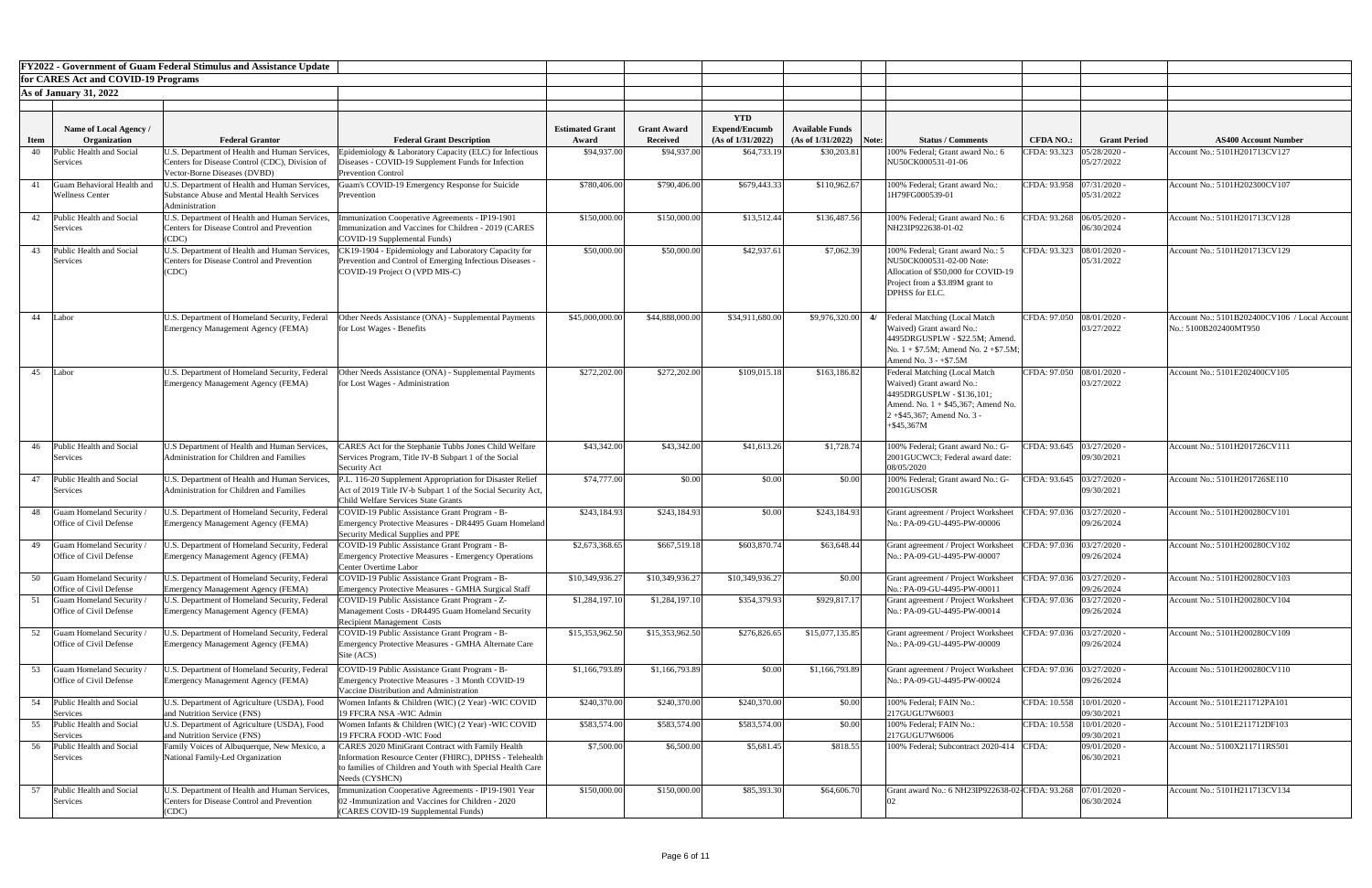|             |                                                     | <b>FY2022 - Government of Guam Federal Stimulus and Assistance Update</b>                          |                                                                                                                  |                        |                    |                                    |                           |    |                                                                             |                             |                     |                                               |
|-------------|-----------------------------------------------------|----------------------------------------------------------------------------------------------------|------------------------------------------------------------------------------------------------------------------|------------------------|--------------------|------------------------------------|---------------------------|----|-----------------------------------------------------------------------------|-----------------------------|---------------------|-----------------------------------------------|
|             | for CARES Act and COVID-19 Programs                 |                                                                                                    |                                                                                                                  |                        |                    |                                    |                           |    |                                                                             |                             |                     |                                               |
|             | $\textsf{As}$ of January 31, 2022                   |                                                                                                    |                                                                                                                  |                        |                    |                                    |                           |    |                                                                             |                             |                     |                                               |
|             |                                                     |                                                                                                    |                                                                                                                  |                        |                    |                                    |                           |    |                                                                             |                             |                     |                                               |
|             | Name of Local Agency /                              |                                                                                                    |                                                                                                                  | <b>Estimated Grant</b> | <b>Grant Award</b> | <b>YTD</b><br><b>Expend/Encumb</b> | <b>Available Funds</b>    |    |                                                                             |                             |                     |                                               |
| <b>Item</b> | Organization                                        | <b>Federal Grantor</b>                                                                             | <b>Federal Grant Description</b>                                                                                 | Award                  | <b>Received</b>    | (As of 1/31/2022)                  | $(As of 1/31/2022)$ Note: |    | <b>Status / Comments</b>                                                    | <b>CFDA NO.:</b>            | <b>Grant Period</b> | <b>AS400 Account Number</b>                   |
| 40          | Public Health and Social                            | U.S. Department of Health and Human Services,                                                      | Epidemiology & Laboratory Capacity (ELC) for Infectious                                                          | \$94,937.00            | \$94,937.00        | \$64,733.19                        | \$30,203.81               |    | 100% Federal; Grant award No.: 6                                            | CFDA: 93.323                | 05/28/2020          | Account No.: 5101H201713CV127                 |
|             | Services                                            | Centers for Disease Control (CDC), Division of<br>Vector-Borne Diseases (DVBD)                     | Diseases - COVID-19 Supplement Funds for Infection<br><b>Prevention Control</b>                                  |                        |                    |                                    |                           |    | NU50CK000531-01-06                                                          |                             | 05/27/2022          |                                               |
|             | Guam Behavioral Health and                          | J.S. Department of Health and Human Services,                                                      | Guam's COVID-19 Emergency Response for Suicide                                                                   | \$780,406.00           | \$790,406.00       | \$679,443.33                       | \$110,962.67              |    | 100% Federal; Grant award No.:                                              | CFDA: 93.958  07/31/2020 -  |                     | Account No.: 5101H202300CV107                 |
|             | <b>Wellness Center</b>                              | Substance Abuse and Mental Health Services                                                         | Prevention                                                                                                       |                        |                    |                                    |                           |    | 1H79FG000539-01                                                             |                             | 05/31/2022          |                                               |
| 42          | Public Health and Social                            | Administration<br>U.S. Department of Health and Human Services,                                    | munization Cooperative Agreements - IP19-1901                                                                    | \$150,000.00           | \$150,000.00       | \$13,512.44                        | \$136,487.56              |    | 100% Federal; Grant award No.: 6                                            | CFDA: 93.268 06/05/2020 -   |                     | Account No.: 5101H201713CV128                 |
|             | Services                                            | <b>Centers for Disease Control and Prevention</b>                                                  | mmunization and Vaccines for Children - 2019 (CARES                                                              |                        |                    |                                    |                           |    | NH23IP922638-01-02                                                          |                             | 06/30/2024          |                                               |
|             |                                                     | (CDC)                                                                                              | COVID-19 Supplemental Funds)                                                                                     |                        |                    |                                    |                           |    |                                                                             |                             |                     |                                               |
| 43          | Public Health and Social<br>Services                | U.S. Department of Health and Human Services,<br><b>Centers for Disease Control and Prevention</b> | CK19-1904 - Epidemiology and Laboratory Capacity for<br>Prevention and Control of Emerging Infectious Diseases - | \$50,000.00            | \$50,000.00        | \$42,937.61                        | \$7,062.39                |    | 100% Federal; Grant award No.: 5<br>NU50CK000531-02-00 Note:                | CFDA: 93.323 08/01/2020 -   | 05/31/2022          | Account No.: 5101H201713CV129                 |
|             |                                                     | (CDC)                                                                                              | COVID-19 Project O (VPD MIS-C)                                                                                   |                        |                    |                                    |                           |    | Allocation of \$50,000 for COVID-19                                         |                             |                     |                                               |
|             |                                                     |                                                                                                    |                                                                                                                  |                        |                    |                                    |                           |    | Project from a \$3.89M grant to                                             |                             |                     |                                               |
|             |                                                     |                                                                                                    |                                                                                                                  |                        |                    |                                    |                           |    | <b>DPHSS</b> for ELC.                                                       |                             |                     |                                               |
| 44 Labor    |                                                     | U.S. Department of Homeland Security, Federal                                                      | Other Needs Assistance (ONA) - Supplemental Payments                                                             | \$45,000,000.00        | \$44,888,000.00    | \$34,911,680.00                    | \$9,976,320.00            | 4/ | Federal Matching (Local Match                                               | CFDA: 97.050 08/01/2020     |                     | Account No.: 5101B202400CV106 / Local Account |
|             |                                                     | <b>Emergency Management Agency (FEMA)</b>                                                          | for Lost Wages - Benefits                                                                                        |                        |                    |                                    |                           |    | Waived) Grant award No.:                                                    |                             | 03/27/2022          | No.: 5100B202400MT950                         |
|             |                                                     |                                                                                                    |                                                                                                                  |                        |                    |                                    |                           |    | 4495DRGUSPLW - \$22.5M; Amend.<br>No. $1 + $7.5M$ ; Amend No. $2 + $7.5M$ ; |                             |                     |                                               |
|             |                                                     |                                                                                                    |                                                                                                                  |                        |                    |                                    |                           |    | Amend No. $3 - +\$7.5M$                                                     |                             |                     |                                               |
|             | 45 Labor                                            |                                                                                                    | U.S. Department of Homeland Security, Federal <b>Other Needs Assistance (ONA)</b> - Supplemental Payments        | \$272,202.00           | \$272,202.00       | \$109,015.18                       | \$163,186.82              |    | Federal Matching (Local Match                                               | CFDA: 97.050 08/01/2020     |                     | Account No.: 5101E202400CV105                 |
|             |                                                     | <b>Emergency Management Agency (FEMA)</b>                                                          | for Lost Wages - Administration                                                                                  |                        |                    |                                    |                           |    | Waived) Grant award No.:<br>4495DRGUSPLW - \$136,101;                       |                             | 03/27/2022          |                                               |
|             |                                                     |                                                                                                    |                                                                                                                  |                        |                    |                                    |                           |    | Amend. No. $1 + $45,367$ ; Amend No.                                        |                             |                     |                                               |
|             |                                                     |                                                                                                    |                                                                                                                  |                        |                    |                                    |                           |    | 2+\$45,367; Amend No. 3 -                                                   |                             |                     |                                               |
|             |                                                     |                                                                                                    |                                                                                                                  |                        |                    |                                    |                           |    | $+$ \$45,367M                                                               |                             |                     |                                               |
| 46          | Public Health and Social                            | U.S Department of Health and Human Services,                                                       | CARES Act for the Stephanie Tubbs Jones Child Welfare                                                            | \$43,342.00            | \$43,342.00        | \$41,613.26                        | \$1,728.74                |    | 100% Federal; Grant award No.: G-                                           | CFDA: 93.645 03/27/2020 -   |                     | Account No.: 5101H201726CV111                 |
|             | Services                                            | Administration for Children and Families                                                           | Services Program, Title IV-B Subpart 1 of the Social<br><b>Security Act</b>                                      |                        |                    |                                    |                           |    | 2001GUCWC3; Federal award date:<br>08/05/2020                               |                             | 09/30/2021          |                                               |
| 47          | Public Health and Social                            | U.S. Department of Health and Human Services,                                                      | P.L. 116-20 Supplement Appropriation for Disaster Relief                                                         | \$74,777.00            | \$0.00             | \$0.00                             | \$0.00                    |    | 100% Federal; Grant award No.: G-                                           | CFDA: 93.645   03/27/2020 - |                     | Account No.: 5101H201726SE110                 |
|             | Services                                            | Administration for Children and Families                                                           | Act of 2019 Title IV-b Subpart 1 of the Social Security Act,                                                     |                        |                    |                                    |                           |    | 2001GUSOSR                                                                  |                             | 09/30/2021          |                                               |
| 48          | Guam Homeland Security                              | J.S. Department of Homeland Security, Federal                                                      | <b>Child Welfare Services State Grants</b><br>COVID-19 Public Assistance Grant Program - B-                      | \$243,184.93           | \$243,184.93       | \$0.00                             | \$243,184.93              |    | Grant agreement / Project Worksheet                                         | CFDA: 97.036 03/27/2020 -   |                     | Account No.: 5101H200280CV101                 |
|             | Office of Civil Defense                             | <b>Emergency Management Agency (FEMA)</b>                                                          | Emergency Protective Measures - DR4495 Guam Homeland                                                             |                        |                    |                                    |                           |    | No.: PA-09-GU-4495-PW-00006                                                 |                             | 09/26/2024          |                                               |
|             |                                                     |                                                                                                    | Security Medical Supplies and PPE                                                                                |                        |                    |                                    |                           |    |                                                                             |                             |                     |                                               |
| 49          | Guam Homeland Security<br>Office of Civil Defense   | J.S. Department of Homeland Security, Federal<br><b>Emergency Management Agency (FEMA)</b>         | COVID-19 Public Assistance Grant Program - B-<br><b>Emergency Protective Measures - Emergency Operations</b>     | \$2,673,368.65         | \$667,519.18       | \$603,870.74]                      | \$63,648.44               |    | Grant agreement / Project Worksheet<br>No.: PA-09-GU-4495-PW-00007          | CFDA: 97.036 03/27/2020 -   | 09/26/2024          | Account No.: 5101H200280CV102                 |
|             |                                                     |                                                                                                    | <b>Center Overtime Labor</b>                                                                                     |                        |                    |                                    |                           |    |                                                                             |                             |                     |                                               |
| 50          | Guam Homeland Security /<br>Office of Civil Defense | J.S. Department of Homeland Security, Federal                                                      | COVID-19 Public Assistance Grant Program - B-<br><b>Emergency Protective Measures - GMHA Surgical Staff</b>      | \$10,349,936.27        | \$10,349,936.27    | \$10,349,936.27                    | \$0.00                    |    | Grant agreement / Project Worksheet<br>No.: PA-09-GU-4495-PW-00011          | CFDA: 97.036 03/27/2020 -   | 09/26/2024          | Account No.: 5101H200280CV103                 |
|             | Guam Homeland Security /                            | <b>Emergency Management Agency (FEMA)</b><br>J.S. Department of Homeland Security, Federal         | COVID-19 Public Assistance Grant Program - Z-                                                                    | \$1,284,197.10         | \$1,284,197.10     | \$354,379.93                       | \$929,817.17              |    | Grant agreement / Project Worksheet                                         | CFDA: 97.036                | 03/27/2020          | Account No.: 5101H200280CV104                 |
|             | Office of Civil Defense                             | <b>Emergency Management Agency (FEMA)</b>                                                          | Management Costs - DR4495 Guam Homeland Security                                                                 |                        |                    |                                    |                           |    | No.: PA-09-GU-4495-PW-00014                                                 |                             | 09/26/2024          |                                               |
|             | Guam Homeland Security /                            | J.S. Department of Homeland Security, Federal                                                      | <b>Recipient Management Costs</b><br>COVID-19 Public Assistance Grant Program - B-                               | \$15,353,962.50        | \$15,353,962.50    | \$276,826.65                       | \$15,077,135.85           |    |                                                                             | CFDA: 97.036 03/27/2020 -   |                     | Account No.: 5101H200280CV109                 |
| 52          | Office of Civil Defense                             | <b>Emergency Management Agency (FEMA)</b>                                                          | Emergency Protective Measures - GMHA Alternate Care                                                              |                        |                    |                                    |                           |    | Grant agreement / Project Worksheet<br>No.: PA-09-GU-4495-PW-00009          |                             | 09/26/2024          |                                               |
|             |                                                     |                                                                                                    | Site (ACS)                                                                                                       |                        |                    |                                    |                           |    |                                                                             |                             |                     |                                               |
| 53          | Guam Homeland Security                              | J.S. Department of Homeland Security, Federal                                                      | COVID-19 Public Assistance Grant Program - B-                                                                    | \$1,166,793.89         | \$1,166,793.89     | \$0.00                             | \$1,166,793.89            |    | Grant agreement / Project Worksheet                                         | CFDA: 97.036 03/27/2020 -   |                     | Account No.: 5101H200280CV110                 |
|             | Office of Civil Defense                             | <b>Emergency Management Agency (FEMA)</b>                                                          | Emergency Protective Measures - 3 Month COVID-19<br>Vaccine Distribution and Administration                      |                        |                    |                                    |                           |    | No.: PA-09-GU-4495-PW-00024                                                 |                             | 09/26/2024          |                                               |
|             | 54 Public Health and Social                         | U.S. Department of Agriculture (USDA), Food                                                        | Women Infants & Children (WIC) (2 Year) -WIC COVID                                                               | \$240,370.00           | \$240,370.00       | \$240,370.00                       | \$0.00                    |    | 100% Federal; FAIN No.:                                                     | CFDA: 10.558   10/01/2020 - |                     | Account No.: 5101E211712PA101                 |
|             | Services                                            | and Nutrition Service (FNS)                                                                        | 19 FFCRA NSA -WIC Admin                                                                                          |                        |                    |                                    |                           |    | 217GUGU7W6003                                                               |                             | 09/30/2021          |                                               |
| 55          | Public Health and Social<br>Services                | U.S. Department of Agriculture (USDA), Food<br>and Nutrition Service (FNS)                         | Women Infants & Children (WIC) (2 Year) -WIC COVID<br>19 FFCRA FOOD -WIC Food                                    | \$583,574.00           | \$583,574.00       | \$583,574.00                       | \$0.00                    |    | 100% Federal; FAIN No.:<br>217GUGU7W6006                                    | CFDA: 10.558  10/01/2020 -  | 09/30/2021          | Account No.: 5101E211712DF103                 |
| 56          | Public Health and Social                            | Family Voices of Albuquerque, New Mexico, a                                                        | <b>CARES 2020 MiniGrant Contract with Family Health</b>                                                          | \$7,500.00             | \$6,500.00         | \$5,681.45                         | \$818.55                  |    | 100% Federal; Subcontract 2020-414 CFDA:                                    |                             | 09/01/2020 -        | Account No.: 5100X211711RS501                 |
|             | Services                                            | National Family-Led Organization                                                                   | Information Resource Center (FHIRC), DPHSS - Telehealth                                                          |                        |                    |                                    |                           |    |                                                                             |                             | 06/30/2021          |                                               |
|             |                                                     |                                                                                                    | to families of Children and Youth with Special Health Care<br>Needs (CYSHCN)                                     |                        |                    |                                    |                           |    |                                                                             |                             |                     |                                               |
|             | Public Health and Social                            | U.S. Department of Health and Human Services,                                                      | nmunization Cooperative Agreements - IP19-1901 Year                                                              | \$150,000.00           | \$150,000.00       | \$85,393.30                        | \$64,606.70               |    | Grant award No.: 6 NH23IP922638-02 CFDA: 93.268                             |                             | 07/01/2020          | Account No.: 5101H211713CV134                 |
|             | Services                                            | <b>Centers for Disease Control and Prevention</b>                                                  | 02 - Immunization and Vaccines for Children - 2020                                                               |                        |                    |                                    |                           |    |                                                                             |                             | 06/30/2024          |                                               |
|             |                                                     | (CDC)                                                                                              | (CARES COVID-19 Supplemental Funds)                                                                              |                        |                    |                                    |                           |    |                                                                             |                             |                     |                                               |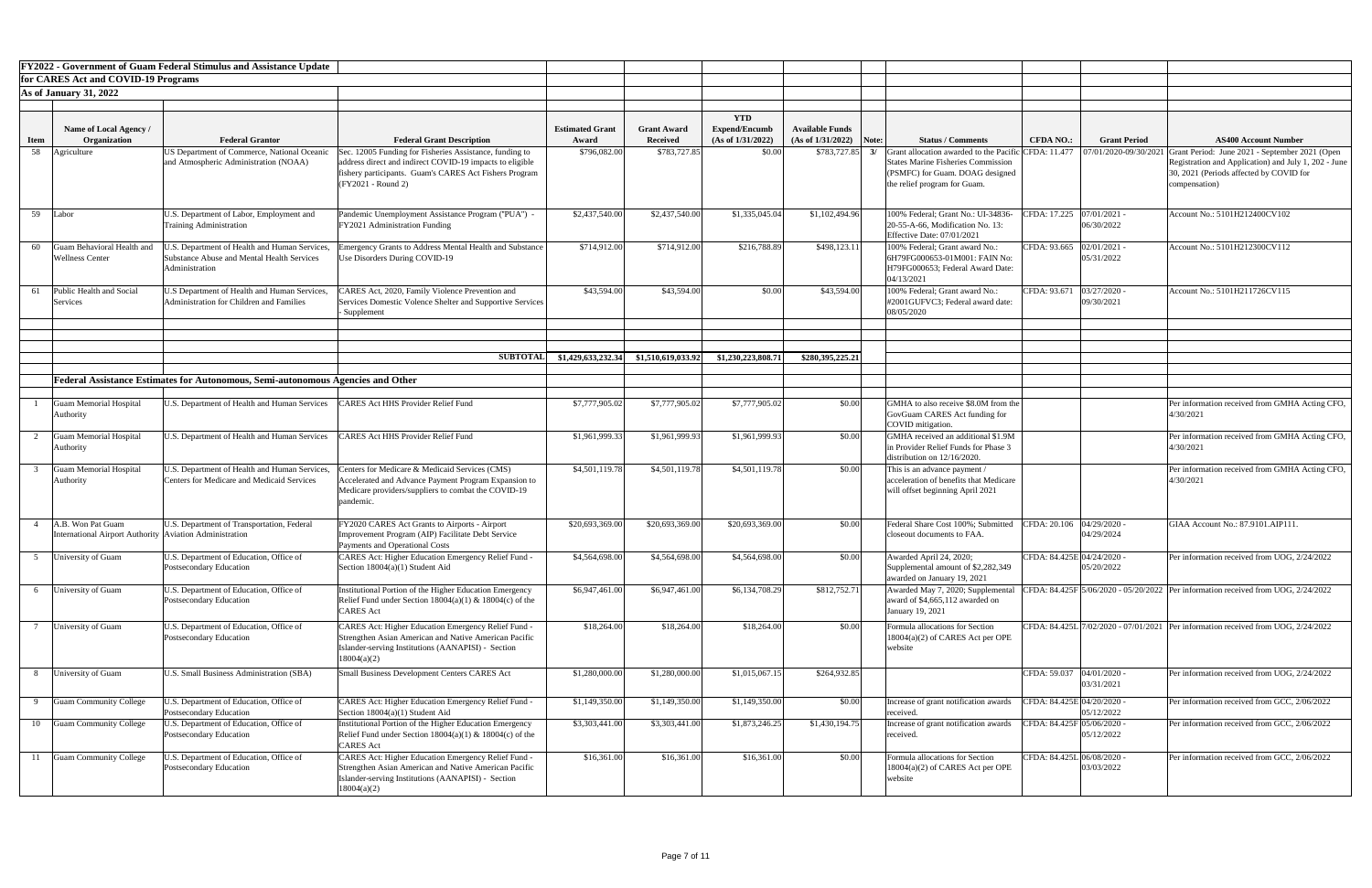|                   |                                                                                | <b>FY2022 - Government of Guam Federal Stimulus and Assistance Update</b>                                     |                                                                                                                                                                                          |                                 |                                       |                                                         |                                           |                                                                                                                   |                             |                          |                                                                                                                  |
|-------------------|--------------------------------------------------------------------------------|---------------------------------------------------------------------------------------------------------------|------------------------------------------------------------------------------------------------------------------------------------------------------------------------------------------|---------------------------------|---------------------------------------|---------------------------------------------------------|-------------------------------------------|-------------------------------------------------------------------------------------------------------------------|-----------------------------|--------------------------|------------------------------------------------------------------------------------------------------------------|
|                   | for CARES Act and COVID-19 Programs                                            |                                                                                                               |                                                                                                                                                                                          |                                 |                                       |                                                         |                                           |                                                                                                                   |                             |                          |                                                                                                                  |
|                   | <b>As of January 31, 2022</b>                                                  |                                                                                                               |                                                                                                                                                                                          |                                 |                                       |                                                         |                                           |                                                                                                                   |                             |                          |                                                                                                                  |
|                   |                                                                                |                                                                                                               |                                                                                                                                                                                          |                                 |                                       |                                                         |                                           |                                                                                                                   |                             |                          |                                                                                                                  |
|                   | Name of Local Agency /<br>Organization                                         | <b>Federal Grantor</b>                                                                                        |                                                                                                                                                                                          | <b>Estimated Grant</b><br>Award | <b>Grant Award</b><br><b>Received</b> | <b>YTD</b><br><b>Expend/Encumb</b><br>(As of 1/31/2022) | <b>Available Funds</b>                    | <b>Status / Comments</b>                                                                                          | <b>CFDA NO.:</b>            | <b>Grant Period</b>      | <b>AS400 Account Number</b>                                                                                      |
| <b>Item</b><br>58 | Agriculture                                                                    | US Department of Commerce, National Oceanic                                                                   | <b>Federal Grant Description</b><br>Sec. 12005 Funding for Fisheries Assistance, funding to                                                                                              | \$796,082.00                    | \$783,727.85                          | \$0.00                                                  | $(As of 1/31/2022)$ Note:<br>\$783,727.85 | <b>Grant allocation awarded to the Pacific CFDA: 11.477 </b>   07/01/2020-09/30/2021                              |                             |                          | Grant Period: June 2021 - September 2021 (Open                                                                   |
|                   |                                                                                | and Atmospheric Administration (NOAA)                                                                         | address direct and indirect COVID-19 impacts to eligible<br>fishery participants. Guam's CARES Act Fishers Program<br>(FY2021 - Round 2)                                                 |                                 |                                       |                                                         |                                           | <b>States Marine Fisheries Commission</b><br>(PSMFC) for Guam. DOAG designed<br>the relief program for Guam.      |                             |                          | Registration and Application) and July 1, 202 - June<br>30, 2021 (Periods affected by COVID for<br>compensation) |
| 59                | Labor                                                                          | U.S. Department of Labor, Employment and<br><b>Training Administration</b>                                    | Pandemic Unemployment Assistance Program ("PUA") -<br>FY2021 Administration Funding                                                                                                      | \$2,437,540.00                  | \$2,437,540.00                        | \$1,335,045.04                                          | \$1,102,494.96                            | 100% Federal; Grant No.: UI-34836-<br>20-55-A-66, Modification No. 13:<br><b>Effective Date: 07/01/2021</b>       | CFDA: 17.225 07/01/2021 -   | 06/30/2022               | Account No.: 5101H212400CV102                                                                                    |
| 60                | Guam Behavioral Health and<br><b>Wellness Center</b>                           | I.S. Department of Health and Human Services,<br>Substance Abuse and Mental Health Services<br>Administration | mergency Grants to Address Mental Health and Substance<br>Use Disorders During COVID-19                                                                                                  | \$714,912.00                    | \$714,912.00                          | \$216,788.89                                            | \$498,123.11                              | 100% Federal; Grant award No.:<br>6H79FG000653-01M001: FAIN No:<br>H79FG000653; Federal Award Date:<br>04/13/2021 | CFDA: 93.665   02/01/2021 - | 05/31/2022               | Account No.: 5101H212300CV112                                                                                    |
| 61                | Public Health and Social<br>Services                                           | U.S Department of Health and Human Services,<br>Administration for Children and Families                      | CARES Act, 2020, Family Violence Prevention and<br>Services Domestic Volence Shelter and Supportive Services<br>- Supplement                                                             | \$43,594.00                     | \$43,594.0                            | \$0.00                                                  | \$43,594.00                               | 100% Federal; Grant award No.:<br>#2001GUFVC3; Federal award date:<br>08/05/2020                                  | CFDA: 93.671                | 03/27/2020<br>09/30/2021 | Account No.: 5101H211726CV115                                                                                    |
|                   |                                                                                |                                                                                                               |                                                                                                                                                                                          |                                 |                                       |                                                         |                                           |                                                                                                                   |                             |                          |                                                                                                                  |
|                   |                                                                                |                                                                                                               | <b>SUBTOTAL</b>                                                                                                                                                                          | \$1,429,633,232.34              | \$1,510,619,033.92                    | \$1,230,223,808.71                                      | \$280,395,225.21                          |                                                                                                                   |                             |                          |                                                                                                                  |
|                   |                                                                                | Federal Assistance Estimates for Autonomous, Semi-autonomous Agencies and Other                               |                                                                                                                                                                                          |                                 |                                       |                                                         |                                           |                                                                                                                   |                             |                          |                                                                                                                  |
|                   |                                                                                |                                                                                                               |                                                                                                                                                                                          |                                 |                                       |                                                         |                                           |                                                                                                                   |                             |                          |                                                                                                                  |
|                   | <b>Guam Memorial Hospital</b><br>Authority                                     | U.S. Department of Health and Human Services                                                                  | <b>LARES Act HHS Provider Relief Fund</b>                                                                                                                                                | \$7,777,905.02                  | \$7,777,905.02                        | \$7,777,905.02                                          | \$0.00                                    | GMHA to also receive \$8.0M from the<br>GovGuam CARES Act funding for<br>COVID mitigation.                        |                             |                          | Per information received from GMHA Acting CFO,<br>4/30/2021                                                      |
|                   | Guam Memorial Hospital<br>Authority                                            | U.S. Department of Health and Human Services                                                                  | <b>CARES Act HHS Provider Relief Fund</b>                                                                                                                                                | \$1,961,999.33                  | \$1,961,999.93                        | \$1,961,999.93                                          | \$0.00                                    | GMHA received an additional \$1.9M<br>in Provider Relief Funds for Phase 3<br>distribution on 12/16/2020.         |                             |                          | Per information received from GMHA Acting CFO,<br>4/30/2021                                                      |
|                   | <b>Guam Memorial Hospital</b><br>Authority                                     | U.S. Department of Health and Human Services,<br><b>Centers for Medicare and Medicaid Services</b>            | Centers for Medicare & Medicaid Services (CMS)<br>Accelerated and Advance Payment Program Expansion to<br>Medicare providers/suppliers to combat the COVID-19<br>pandemic.               | \$4,501,119.78                  | \$4,501,119.78                        | \$4,501,119.78                                          | \$0.00                                    | This is an advance payment /<br>acceleration of benefits that Medicare<br>will offset beginning April 2021        |                             |                          | Per information received from GMHA Acting CFO,<br>4/30/2021                                                      |
|                   | A.B. Won Pat Guam<br>International Airport Authority   Aviation Administration | U.S. Department of Transportation, Federal                                                                    | FY2020 CARES Act Grants to Airports - Airport<br>Improvement Program (AIP) Facilitate Debt Service<br><b>Payments and Operational Costs</b>                                              | \$20,693,369.00                 | \$20,693,369.00                       | \$20,693,369.00                                         | \$0.00                                    | Federal Share Cost 100%; Submitted<br>closeout documents to FAA                                                   | CFDA: 20.106 04/29/2020 -   | 04/29/2024               | GIAA Account No.: 87.9101.AIP111                                                                                 |
|                   | University of Guam                                                             | U.S. Department of Education, Office of<br>Postsecondary Education                                            | CARES Act: Higher Education Emergency Relief Fund -<br>Section $18004(a)(1)$ Student Aid                                                                                                 | \$4,564,698.00                  | \$4,564,698.00                        | \$4,564,698.00                                          | \$0.00                                    | Awarded April 24, 2020;<br>Supplemental amount of \$2,282,349<br>awarded on January 19, 2021                      | CFDA: 84.425E 04/24/2020 -  | 05/20/2022               | Per information received from UOG, 2/24/2022                                                                     |
|                   | University of Guam                                                             | U.S. Department of Education, Office of<br>Postsecondary Education                                            | Institutional Portion of the Higher Education Emergency<br>Relief Fund under Section $18004(a)(1)$ & $18004(c)$ of the<br><b>CARES</b> Act                                               | \$6,947,461.00                  | \$6,947,461.00                        | \$6,134,708.29                                          | \$812,752.71                              | Awarded May 7, 2020; Supplemental<br>award of $$4,665,112$ awarded on<br>January 19, 2021                         |                             |                          | CFDA: 84.425F 5/06/2020 - 05/20/2022 Per information received from UOG, 2/24/2022                                |
|                   | University of Guam                                                             | U.S. Department of Education, Office of<br>Postsecondary Education                                            | CARES Act: Higher Education Emergency Relief Fund -<br>Strengthen Asian American and Native American Pacific<br>Islander-serving Institutions (AANAPISI) - Section<br>18004(a)(2)        | \$18,264.00                     | \$18,264.00                           | \$18,264.00                                             | \$0.00                                    | Formula allocations for Section<br>18004(a)(2) of CARES Act per OPE<br>website                                    |                             |                          | CFDA: 84.425L 7/02/2020 - 07/01/2021 Per information received from UOG, 2/24/2022                                |
|                   | University of Guam                                                             | U.S. Small Business Administration (SBA)                                                                      | <b>Small Business Development Centers CARES Act</b>                                                                                                                                      | \$1,280,000.00                  | \$1,280,000.00                        | \$1,015,067.15                                          | \$264,932.85                              |                                                                                                                   | CFDA: 59.037 04/01/2020 -   | 03/31/2021               | Per information received from UOG, 2/24/2022                                                                     |
|                   | <b>Guam Community College</b>                                                  | U.S. Department of Education, Office of<br>Postsecondary Education                                            | <b>CARES Act: Higher Education Emergency Relief Fund -</b><br>Section $18004(a)(1)$ Student Aid                                                                                          | \$1,149,350.00                  | \$1,149,350.00                        | \$1,149,350.00                                          | \$0.00                                    | Increase of grant notification awards<br>received.                                                                | CFDA: 84.425E 04/20/2020 -  | 05/12/2022               | Per information received from GCC, 2/06/2022                                                                     |
|                   | 10 Guam Community College                                                      | U.S. Department of Education, Office of<br>Postsecondary Education                                            | Institutional Portion of the Higher Education Emergency<br>Relief Fund under Section $18004(a)(1)$ & $18004(c)$ of the<br><b>CARES</b> Act                                               | \$3,303,441.00                  | \$3,303,441.00                        | \$1,873,246.25                                          | \$1,430,194.75                            | Increase of grant notification awards<br>received.                                                                | CFDA: 84.425F 05/06/2020 -  | 05/12/2022               | Per information received from GCC, 2/06/2022                                                                     |
| 11                | <b>Guam Community College</b>                                                  | J.S. Department of Education, Office of<br>Postsecondary Education                                            | <b>CARES Act: Higher Education Emergency Relief Fund -</b><br>Strengthen Asian American and Native American Pacific<br>Islander-serving Institutions (AANAPISI) - Section<br>18004(a)(2) | \$16,361.00                     | \$16,361.00                           | \$16,361.00                                             | \$0.00                                    | Formula allocations for Section<br>18004(a)(2) of CARES Act per OPE<br>website                                    | CFDA: 84.425L 06/08/2020 -  | 03/03/2022               | Per information received from GCC, 2/06/2022                                                                     |

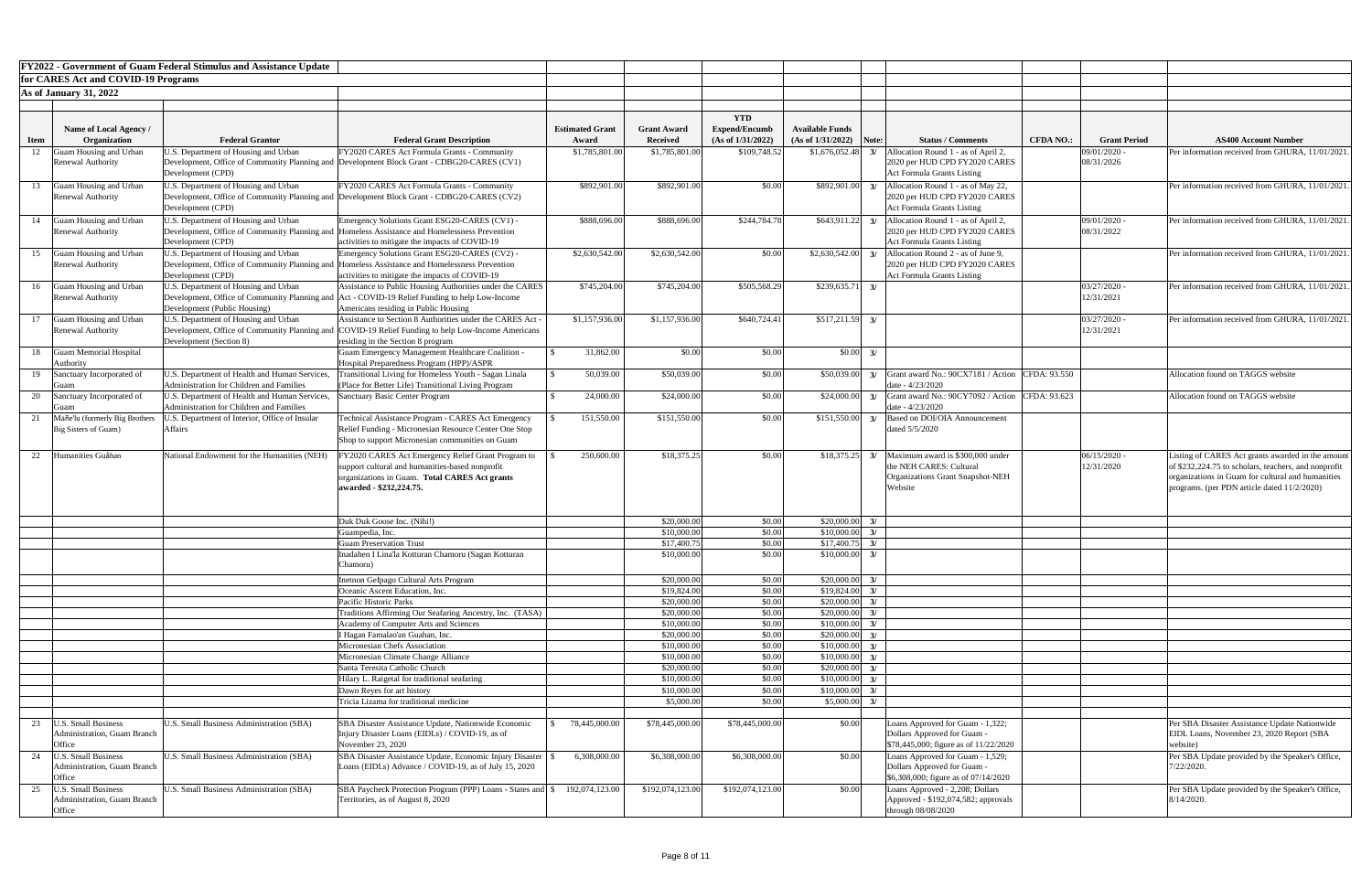|             |                                                                             | <b>FY2022 - Government of Guam Federal Stimulus and Assistance Update</b>                                                                                                  |                                                                                                                                                                                                    |                                 |                                       |                                                         |                                             |       |                                                                                                                               |                  |                              |                                                                                                                                                                                                              |
|-------------|-----------------------------------------------------------------------------|----------------------------------------------------------------------------------------------------------------------------------------------------------------------------|----------------------------------------------------------------------------------------------------------------------------------------------------------------------------------------------------|---------------------------------|---------------------------------------|---------------------------------------------------------|---------------------------------------------|-------|-------------------------------------------------------------------------------------------------------------------------------|------------------|------------------------------|--------------------------------------------------------------------------------------------------------------------------------------------------------------------------------------------------------------|
|             | for CARES Act and COVID-19 Programs                                         |                                                                                                                                                                            |                                                                                                                                                                                                    |                                 |                                       |                                                         |                                             |       |                                                                                                                               |                  |                              |                                                                                                                                                                                                              |
|             | <b>As of January 31, 2022</b>                                               |                                                                                                                                                                            |                                                                                                                                                                                                    |                                 |                                       |                                                         |                                             |       |                                                                                                                               |                  |                              |                                                                                                                                                                                                              |
| <b>Item</b> | <b>Name of Local Agency</b> /<br>Organization                               | <b>Federal Grantor</b>                                                                                                                                                     | <b>Federal Grant Description</b>                                                                                                                                                                   | <b>Estimated Grant</b><br>Award | <b>Grant Award</b><br><b>Received</b> | <b>YTD</b><br><b>Expend/Encumb</b><br>(As of 1/31/2022) | <b>Available Funds</b><br>(As of 1/31/2022) | Note: | <b>Status / Comments</b>                                                                                                      | <b>CFDA NO.:</b> | <b>Grant Period</b>          | <b>AS400 Account Number</b>                                                                                                                                                                                  |
| 12          | Guam Housing and Urban<br><b>Renewal Authority</b>                          | U.S. Department of Housing and Urban<br>Development (CPD)                                                                                                                  | FY2020 CARES Act Formula Grants - Community<br>Development, Office of Community Planning and Development Block Grant - CDBG20-CARES (CV1)                                                          | \$1,785,801.00                  | \$1,785,801.00                        | \$109,748.52                                            | \$1,676,052.48                              |       | Allocation Round 1 - as of April 2,<br>2020 per HUD CPD FY2020 CARES<br><b>Act Formula Grants Listing</b>                     |                  | 09/01/2020 -<br>08/31/2026   | Per information received from GHURA, 11/01/202                                                                                                                                                               |
| 13          | Guam Housing and Urban<br>Renewal Authority                                 | U.S. Department of Housing and Urban<br>Development (CPD)                                                                                                                  | FY2020 CARES Act Formula Grants - Community<br>Development, Office of Community Planning and Development Block Grant - CDBG20-CARES (CV2)                                                          | \$892,901.00                    | \$892,901.00                          | \$0.00                                                  | \$892,901.00                                |       | Allocation Round 1 - as of May 22,<br>2020 per HUD CPD FY2020 CARES<br><b>Act Formula Grants Listing</b>                      |                  |                              | Per information received from GHURA, 11/01/202                                                                                                                                                               |
| 14          | Guam Housing and Urban<br><b>Renewal Authority</b>                          | U.S. Department of Housing and Urban<br>Development (CPD)                                                                                                                  | Emergency Solutions Grant ESG20-CARES (CV1) -<br>Development, Office of Community Planning and Homeless Assistance and Homelessness Prevention<br>activities to mitigate the impacts of COVID-19   | \$888,696.00                    | \$888,696.00                          | \$244,784.78                                            | \$643,911.22                                | 3/    | Allocation Round 1 - as of April 2,<br>2020 per HUD CPD FY2020 CARES<br><b>Act Formula Grants Listing</b>                     |                  | 09/01/2020 -<br>08/31/2022   | Per information received from GHURA, 11/01/202                                                                                                                                                               |
| 15          | Guam Housing and Urban<br><b>Renewal Authority</b>                          | U.S. Department of Housing and Urban<br>Development (CPD)                                                                                                                  | Emergency Solutions Grant ESG20-CARES (CV2) -<br>Development, Office of Community Planning and Homeless Assistance and Homelessness Prevention<br>activities to mitigate the impacts of COVID-19   | \$2,630,542.00                  | \$2,630,542.00                        | \$0.00                                                  | \$2,630,542.00                              |       | Allocation Round 2 - as of June 9,<br>2020 per HUD CPD FY2020 CARES<br><b>Act Formula Grants Listing</b>                      |                  |                              | Per information received from GHURA, 11/01/202                                                                                                                                                               |
| 16          | Guam Housing and Urban<br>Renewal Authority                                 | U.S. Department of Housing and Urban<br>Development (Public Housing)                                                                                                       | Assistance to Public Housing Authorities under the CARES<br>Development, Office of Community Planning and Act - COVID-19 Relief Funding to help Low-Income<br>Americans residing in Public Housing | \$745,204.00                    | \$745,204.00                          | \$505,568.29                                            | \$239,635.71                                | 3/    |                                                                                                                               |                  | $03/27/2020$ .<br>12/31/2021 | Per information received from GHURA, 11/01/202                                                                                                                                                               |
|             | Guam Housing and Urban<br>Renewal Authority                                 | U.S. Department of Housing and Urban<br>Development (Section 8)                                                                                                            | Assistance to Section 8 Authorities under the CARES Act<br>Development, Office of Community Planning and COVID-19 Relief Funding to help Low-Income Americans<br>residing in the Section 8 program | \$1,157,936.00                  | \$1,157,936.00                        | \$640,724.41                                            | $$517,211.59$ 3/                            |       |                                                                                                                               |                  | $03/27/2020$ -<br>12/31/2021 | Per information received from GHURA, 11/01/202                                                                                                                                                               |
|             | 18 Guam Memorial Hospital<br>Authority                                      |                                                                                                                                                                            | <b>Guam Emergency Management Healthcare Coalition -</b><br>Hospital Preparedness Program (HPP)/ASPR                                                                                                | 31,862.00                       | \$0.00                                | \$0.00                                                  | $$0.00\,$ 3/                                |       |                                                                                                                               |                  |                              |                                                                                                                                                                                                              |
|             | 19 Sanctuary Incorporated of<br>Guam                                        | Administration for Children and Families                                                                                                                                   | U.S. Department of Health and Human Services, Transitional Living for Homeless Youth - Sagan Linala<br>(Place for Better Life) Transitional Living Program                                         | 50,039.00                       | \$50,039.00                           | \$0.00                                                  |                                             |       | $\vert$ \$50,039.00 3/ Grant award No.: 90CX7181 / Action CFDA: 93.550<br>date $-4/23/2020$                                   |                  |                              | Allocation found on TAGGS website                                                                                                                                                                            |
| 20          | Sanctuary Incorporated of<br><b>IGuan</b><br>Mañe'lu (formerly Big Brothers | U.S. Department of Health and Human Services, Sanctuary Basic Center Program<br>Administration for Children and Families<br>U.S. Department of Interior, Office of Insular | Technical Assistance Program - CARES Act Emergency                                                                                                                                                 | 24,000.00<br>151,550.00         | \$24,000.00<br>\$151,550.00           | \$0.00<br>\$0.00                                        | \$151,550.00                                | 3/    | $\vert$ \$24,000.00 3/ Grant award No.: 90CY7092 / Action CFDA: 93.623<br>date - $4/23/2020$<br>Based on DOI/OIA Announcement |                  |                              | Allocation found on TAGGS website                                                                                                                                                                            |
|             | Big Sisters of Guam)                                                        | <b>Affairs</b>                                                                                                                                                             | Relief Funding - Micronesian Resource Center One Stop<br>Shop to support Micronesian communities on Guam                                                                                           |                                 |                                       |                                                         |                                             |       | dated 5/5/2020                                                                                                                |                  |                              |                                                                                                                                                                                                              |
|             | Humanities Guåhan                                                           | National Endowment for the Humanities (NEH)                                                                                                                                | FY2020 CARES Act Emergency Relief Grant Program to<br>support cultural and humanities-based nonprofit<br>organizations in Guam. Total CARES Act grants<br>awarded - \$232,224.75.                  | 250,600.00                      | \$18,375.25                           | \$0.00                                                  |                                             |       | $$18,375.25$ 3/ Maximum award is \$300,000 under<br>the NEH CARES: Cultural<br>Organizations Grant Snapshot-NEH<br>Website    |                  | $06/15/2020$ -<br>12/31/2020 | Listing of CARES Act grants awarded in the amoun<br>of \$232,224.75 to scholars, teachers, and nonprofit<br>organizations in Guam for cultural and humanities<br>programs. (per PDN article dated 11/2/2020) |
|             |                                                                             |                                                                                                                                                                            | Duk Duk Goose Inc. (Nihi!)                                                                                                                                                                         |                                 | \$20,000.00                           | \$0.00                                                  | $$20,000.00$ 3/                             |       |                                                                                                                               |                  |                              |                                                                                                                                                                                                              |
|             |                                                                             |                                                                                                                                                                            | Guampedia, Inc.<br><b>Guam Preservation Trust</b>                                                                                                                                                  |                                 | \$10,000.00<br>\$17,400.75            | \$0.00<br>\$0.00                                        | $$10,000.00$ 3/<br>$$17,400.75$ 3/          |       |                                                                                                                               |                  |                              |                                                                                                                                                                                                              |
|             |                                                                             |                                                                                                                                                                            | nadahen I Lina'la Kotturan Chamoru (Sagan Kotturan<br>Chamoru)                                                                                                                                     |                                 | \$10,000.00                           | \$0.00                                                  | \$10,000.00                                 |       |                                                                                                                               |                  |                              |                                                                                                                                                                                                              |
|             |                                                                             |                                                                                                                                                                            | Inetnon Gefpago Cultural Arts Program                                                                                                                                                              |                                 | \$20,000.00                           | \$0.00                                                  | $$20,000.00$ 3/                             |       |                                                                                                                               |                  |                              |                                                                                                                                                                                                              |
|             |                                                                             |                                                                                                                                                                            | Oceanic Ascent Education, Inc.<br>Pacific Historic Parks                                                                                                                                           |                                 | \$19,824.00<br>\$20,000.00            | \$0.00<br>\$0.00                                        | $$19,824.00$ 3/<br>$$20,000.00$ 3/          |       |                                                                                                                               |                  |                              |                                                                                                                                                                                                              |
|             |                                                                             |                                                                                                                                                                            | Traditions Affirming Our Seafaring Ancestry, Inc. (TASA)                                                                                                                                           |                                 | \$20,000.00                           | \$0.00                                                  | \$20,000.00                                 | 3/    |                                                                                                                               |                  |                              |                                                                                                                                                                                                              |
|             |                                                                             |                                                                                                                                                                            | <b>Academy of Computer Arts and Sciences</b>                                                                                                                                                       |                                 | \$10,000.00                           | \$0.00                                                  | \$10,000.00                                 | 3/    |                                                                                                                               |                  |                              |                                                                                                                                                                                                              |
|             |                                                                             |                                                                                                                                                                            | Hagan Famalao'an Guahan, Inc.                                                                                                                                                                      |                                 | \$20,000.00                           | \$0.00                                                  | \$20,000.00                                 | 3/    |                                                                                                                               |                  |                              |                                                                                                                                                                                                              |
|             |                                                                             |                                                                                                                                                                            | Micronesian Chefs Association                                                                                                                                                                      |                                 | \$10,000.00                           | \$0.00                                                  | \$10,000.00                                 | 3/    |                                                                                                                               |                  |                              |                                                                                                                                                                                                              |
|             |                                                                             |                                                                                                                                                                            | Micronesian Climate Change Alliance<br>Santa Teresita Catholic Church                                                                                                                              |                                 | \$10,000.00<br>\$20,000.00            | \$0.00<br>\$0.00                                        | \$10,000.00<br>$$20,000.00$ 3/              | 3/    |                                                                                                                               |                  |                              |                                                                                                                                                                                                              |
|             |                                                                             |                                                                                                                                                                            | Hilary L. Raigetal for traditional seafaring                                                                                                                                                       |                                 | \$10,000.00                           | \$0.00                                                  | $$10,000.00$ 3/                             |       |                                                                                                                               |                  |                              |                                                                                                                                                                                                              |
|             |                                                                             |                                                                                                                                                                            | Dawn Reyes for art history                                                                                                                                                                         |                                 | \$10,000.00                           | \$0.00                                                  | $$10,000.00$ 3/                             |       |                                                                                                                               |                  |                              |                                                                                                                                                                                                              |
|             |                                                                             |                                                                                                                                                                            | Tricia Lizama for traditional medicine                                                                                                                                                             |                                 | \$5,000.00                            | \$0.00                                                  | \$5,000.00                                  | 3/    |                                                                                                                               |                  |                              |                                                                                                                                                                                                              |
|             | <b>U.S. Small Business</b><br>Administration, Guam Branch<br>Office         | U.S. Small Business Administration (SBA)                                                                                                                                   | SBA Disaster Assistance Update, Nationwide Economic<br>Injury Disaster Loans (EIDLs) / COVID-19, as of<br>November 23, 2020                                                                        | 78,445,000.00                   | \$78,445,000.00                       | \$78,445,000.00                                         | \$0.00                                      |       | Loans Approved for Guam - 1,322;<br>Dollars Approved for Guam -<br>\$78,445,000; figure as of 11/22/2020                      |                  |                              | Per SBA Disaster Assistance Update Nationwide<br>EIDL Loans, November 23, 2020 Report (SBA<br>website)                                                                                                       |
| 24          | <b>U.S. Small Business</b><br>Administration, Guam Branch<br>Office         | U.S. Small Business Administration (SBA)                                                                                                                                   | SBA Disaster Assistance Update, Economic Injury Disaster<br>Loans (EIDLs) Advance / COVID-19, as of July 15, 2020                                                                                  | 6,308,000.00                    | \$6,308,000.00                        | \$6,308,000.00                                          | \$0.00                                      |       | Loans Approved for Guam - 1,529;<br>Dollars Approved for Guam -<br>\$6,308,000; figure as of 07/14/2020                       |                  |                              | Per SBA Update provided by the Speaker's Office,<br>7/22/2020.                                                                                                                                               |
| 25          | <b>U.S. Small Business</b><br>Administration, Guam Branch<br>Office         | U.S. Small Business Administration (SBA)                                                                                                                                   | SBA Paycheck Protection Program (PPP) Loans - States and \\$<br>Territories, as of August 8, 2020                                                                                                  | 192,074,123.00                  | \$192,074,123.00                      | \$192,074,123.00                                        | \$0.00                                      |       | Loans Approved - 2,208; Dollars<br>Approved - \$192,074,582; approvals<br>through 08/08/2020                                  |                  |                              | Per SBA Update provided by the Speaker's Office,<br>$8/14/2020$ .                                                                                                                                            |

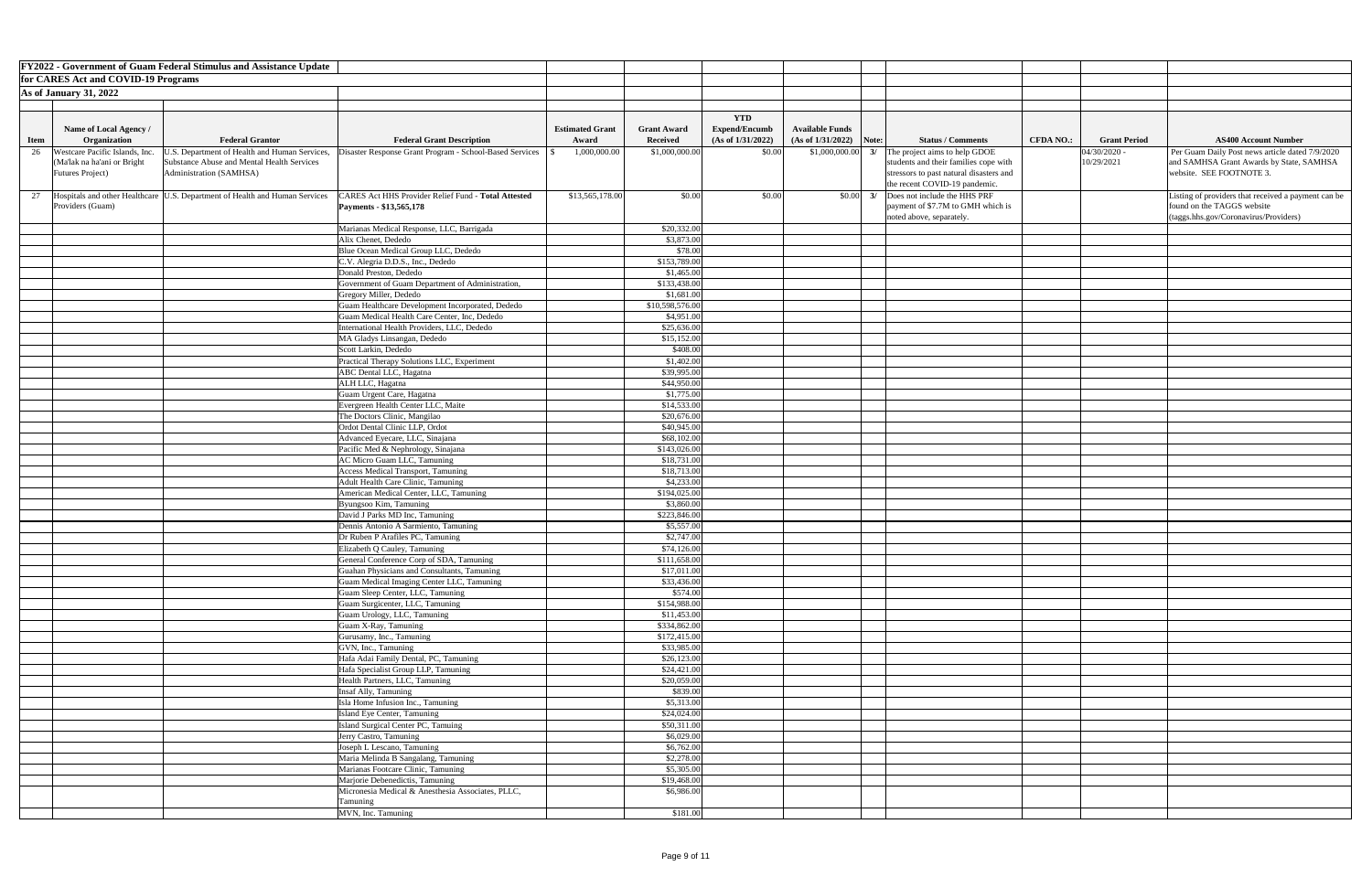|             |                                     | <b>FY2022 - Government of Guam Federal Stimulus and Assistance Update</b>     |                                                                                                  |                        |                             |                      |                                           |                                                                          |                  |                     |                                                     |
|-------------|-------------------------------------|-------------------------------------------------------------------------------|--------------------------------------------------------------------------------------------------|------------------------|-----------------------------|----------------------|-------------------------------------------|--------------------------------------------------------------------------|------------------|---------------------|-----------------------------------------------------|
|             | for CARES Act and COVID-19 Programs |                                                                               |                                                                                                  |                        |                             |                      |                                           |                                                                          |                  |                     |                                                     |
|             | <b>As of January 31, 2022</b>       |                                                                               |                                                                                                  |                        |                             |                      |                                           |                                                                          |                  |                     |                                                     |
|             |                                     |                                                                               |                                                                                                  |                        |                             |                      |                                           |                                                                          |                  |                     |                                                     |
|             |                                     |                                                                               |                                                                                                  |                        |                             | <b>YTD</b>           |                                           |                                                                          |                  |                     |                                                     |
|             | Name of Local Agency /              |                                                                               |                                                                                                  | <b>Estimated Grant</b> | <b>Grant Award</b>          | <b>Expend/Encumb</b> | <b>Available Funds</b>                    |                                                                          |                  |                     |                                                     |
| <b>Item</b> | Organization                        | <b>Federal Grantor</b>                                                        | <b>Federal Grant Description</b>                                                                 | Award                  | <b>Received</b>             | (As of 1/31/2022)    | $(As of 1/31/2022)$ Note:                 | <b>Status / Comments</b>                                                 | <b>CFDA NO.:</b> | <b>Grant Period</b> | <b>AS400 Account Number</b>                         |
| 26          | Westcare Pacific Islands, Inc.      | J.S. Department of Health and Human Services,                                 | Disaster Response Grant Program - School-Based Services                                          | 1,000,000.00           | \$1,000,000.00              | \$0.00               | \$1,000,000.00<br>3/                      | The project aims to help GDOE                                            |                  | 04/30/2020 -        | Per Guam Daily Post news article dated 7/9/2020     |
|             | (Ma'lak na ha'ani or Bright         | Substance Abuse and Mental Health Services                                    |                                                                                                  |                        |                             |                      |                                           | students and their families cope with                                    |                  | 10/29/2021          | and SAMHSA Grant Awards by State, SAMHSA            |
|             | <b>Futures Project</b> )            | Administration (SAMHSA)                                                       |                                                                                                  |                        |                             |                      |                                           | stressors to past natural disasters and<br>the recent COVID-19 pandemic. |                  |                     | website. SEE FOOTNOTE 3.                            |
| 27          |                                     | Hospitals and other Healthcare   U.S. Department of Health and Human Services | CARES Act HHS Provider Relief Fund - Total Attested                                              | \$13,565,178.00        | \$0.00                      | \$0.00               | $\begin{bmatrix} 0.00 \\ 3 \end{bmatrix}$ | Does not include the HHS PRF                                             |                  |                     | Listing of providers that received a payment can be |
|             | Providers (Guam)                    |                                                                               | Payments - \$13,565,178                                                                          |                        |                             |                      |                                           | payment of \$7.7M to GMH which is                                        |                  |                     | found on the TAGGS website                          |
|             |                                     |                                                                               |                                                                                                  |                        |                             |                      |                                           | noted above, separately.                                                 |                  |                     | $(\text{tags.hhs.gov/Coronavirus/Providers})$       |
|             |                                     |                                                                               | Marianas Medical Response, LLC, Barrigada                                                        |                        | \$20,332.00                 |                      |                                           |                                                                          |                  |                     |                                                     |
|             |                                     |                                                                               | Alix Chenet, Dededo                                                                              |                        | \$3,873.00                  |                      |                                           |                                                                          |                  |                     |                                                     |
|             |                                     |                                                                               | Blue Ocean Medical Group LLC, Dededo                                                             |                        | \$78.00                     |                      |                                           |                                                                          |                  |                     |                                                     |
|             |                                     |                                                                               | C.V. Alegria D.D.S., Inc., Dededo                                                                |                        | \$153,789.00                |                      |                                           |                                                                          |                  |                     |                                                     |
|             |                                     |                                                                               | Donald Preston, Dededo                                                                           |                        | \$1,465.00                  |                      |                                           |                                                                          |                  |                     |                                                     |
|             |                                     |                                                                               | Government of Guam Department of Administration,                                                 |                        | \$133,438.00                |                      |                                           |                                                                          |                  |                     |                                                     |
|             |                                     |                                                                               | Gregory Miller, Dededo                                                                           |                        | \$1,681.00                  |                      |                                           |                                                                          |                  |                     |                                                     |
|             |                                     |                                                                               | Guam Healthcare Development Incorporated, Dededo<br>Guam Medical Health Care Center, Inc, Dededo |                        | \$10,598,576.00             |                      |                                           |                                                                          |                  |                     |                                                     |
|             |                                     |                                                                               | International Health Providers, LLC, Dededo                                                      |                        | \$4,951.00<br>\$25,636.00   |                      |                                           |                                                                          |                  |                     |                                                     |
|             |                                     |                                                                               | MA Gladys Linsangan, Dededo                                                                      |                        | \$15,152.00                 |                      |                                           |                                                                          |                  |                     |                                                     |
|             |                                     |                                                                               | Scott Larkin, Dededo                                                                             |                        | \$408.00                    |                      |                                           |                                                                          |                  |                     |                                                     |
|             |                                     |                                                                               | Practical Therapy Solutions LLC, Experiment                                                      |                        | \$1,402.00                  |                      |                                           |                                                                          |                  |                     |                                                     |
|             |                                     |                                                                               | <b>ABC</b> Dental LLC, Hagatna                                                                   |                        | \$39,995.00                 |                      |                                           |                                                                          |                  |                     |                                                     |
|             |                                     |                                                                               | ALH LLC, Hagatna                                                                                 |                        | \$44,950.00                 |                      |                                           |                                                                          |                  |                     |                                                     |
|             |                                     |                                                                               | Guam Urgent Care, Hagatna                                                                        |                        | \$1,775.00                  |                      |                                           |                                                                          |                  |                     |                                                     |
|             |                                     |                                                                               | Evergreen Health Center LLC, Maite                                                               |                        | \$14,533.00                 |                      |                                           |                                                                          |                  |                     |                                                     |
|             |                                     |                                                                               | The Doctors Clinic, Mangilao                                                                     |                        | \$20,676.00                 |                      |                                           |                                                                          |                  |                     |                                                     |
|             |                                     |                                                                               | Ordot Dental Clinic LLP, Ordot                                                                   |                        | \$40,945.00                 |                      |                                           |                                                                          |                  |                     |                                                     |
|             |                                     |                                                                               | Advanced Eyecare, LLC, Sinajana                                                                  |                        | \$68,102.00<br>\$143,026.00 |                      |                                           |                                                                          |                  |                     |                                                     |
|             |                                     |                                                                               | Pacific Med & Nephrology, Sinajana<br>AC Micro Guam LLC, Tamuning                                |                        | \$18,731.00                 |                      |                                           |                                                                          |                  |                     |                                                     |
|             |                                     |                                                                               | <b>Access Medical Transport, Tamuning</b>                                                        |                        | \$18,713.00                 |                      |                                           |                                                                          |                  |                     |                                                     |
|             |                                     |                                                                               | Adult Health Care Clinic, Tamuning                                                               |                        | \$4,233.00                  |                      |                                           |                                                                          |                  |                     |                                                     |
|             |                                     |                                                                               | American Medical Center, LLC, Tamuning                                                           |                        | \$194,025.00                |                      |                                           |                                                                          |                  |                     |                                                     |
|             |                                     |                                                                               | Byungsoo Kim, Tamuning                                                                           |                        | \$3,860.00                  |                      |                                           |                                                                          |                  |                     |                                                     |
|             |                                     |                                                                               | David J Parks MD Inc, Tamuning                                                                   |                        | \$223,846.00                |                      |                                           |                                                                          |                  |                     |                                                     |
|             |                                     |                                                                               | Dennis Antonio A Sarmiento, Tamuning                                                             |                        | \$5,557.00                  |                      |                                           |                                                                          |                  |                     |                                                     |
|             |                                     |                                                                               | Dr Ruben P Arafiles PC, Tamuning                                                                 |                        | \$2,747.00                  |                      |                                           |                                                                          |                  |                     |                                                     |
|             |                                     |                                                                               | Elizabeth Q Cauley, Tamuning                                                                     |                        | \$74,126.00                 |                      |                                           |                                                                          |                  |                     |                                                     |
|             |                                     |                                                                               | General Conference Corp of SDA, Tamuning                                                         |                        | \$111,658.00                |                      |                                           |                                                                          |                  |                     |                                                     |
|             |                                     |                                                                               | Guahan Physicians and Consultants, Tamuning<br>Guam Medical Imaging Center LLC, Tamuning         |                        | \$17,011.00<br>\$33,436.00  |                      |                                           |                                                                          |                  |                     |                                                     |
|             |                                     |                                                                               | Guam Sleep Center, LLC, Tamuning                                                                 |                        | \$574.00                    |                      |                                           |                                                                          |                  |                     |                                                     |
|             |                                     |                                                                               | Guam Surgicenter, LLC, Tamuning                                                                  |                        | \$154,988.00                |                      |                                           |                                                                          |                  |                     |                                                     |
|             |                                     |                                                                               | Guam Urology, LLC, Tamuning                                                                      |                        | \$11,453.00                 |                      |                                           |                                                                          |                  |                     |                                                     |
|             |                                     |                                                                               | Guam X-Ray, Tamuning                                                                             |                        | \$334,862.00                |                      |                                           |                                                                          |                  |                     |                                                     |
|             |                                     |                                                                               | Gurusamy, Inc., Tamuning                                                                         |                        | \$172,415.00                |                      |                                           |                                                                          |                  |                     |                                                     |
|             |                                     |                                                                               | GVN, Inc., Tamuning                                                                              |                        | \$33,985.00                 |                      |                                           |                                                                          |                  |                     |                                                     |
|             |                                     |                                                                               | Hafa Adai Family Dental, PC, Tamuning                                                            |                        | \$26,123.00                 |                      |                                           |                                                                          |                  |                     |                                                     |
|             |                                     |                                                                               | Hafa Specialist Group LLP, Tamuning                                                              |                        | \$24,421.00                 |                      |                                           |                                                                          |                  |                     |                                                     |
|             |                                     |                                                                               | Health Partners, LLC, Tamuning                                                                   |                        | \$20,059.00                 |                      |                                           |                                                                          |                  |                     |                                                     |
|             |                                     |                                                                               | Insaf Ally, Tamuning<br>Isla Home Infusion Inc., Tamuning                                        |                        | \$839.00<br>\$5,313.00      |                      |                                           |                                                                          |                  |                     |                                                     |
|             |                                     |                                                                               | Island Eye Center, Tamuning                                                                      |                        | \$24,024.00                 |                      |                                           |                                                                          |                  |                     |                                                     |
|             |                                     |                                                                               | Island Surgical Center PC, Tamuing                                                               |                        | \$50,311.00                 |                      |                                           |                                                                          |                  |                     |                                                     |
|             |                                     |                                                                               | Jerry Castro, Tamuning                                                                           |                        | \$6,029.00                  |                      |                                           |                                                                          |                  |                     |                                                     |
|             |                                     |                                                                               | Joseph L Lescano, Tamuning                                                                       |                        | \$6,762.00                  |                      |                                           |                                                                          |                  |                     |                                                     |
|             |                                     |                                                                               | Maria Melinda B Sangalang, Tamuning                                                              |                        | \$2,278.00                  |                      |                                           |                                                                          |                  |                     |                                                     |
|             |                                     |                                                                               | Marianas Footcare Clinic, Tamuning                                                               |                        | \$5,305.00                  |                      |                                           |                                                                          |                  |                     |                                                     |
|             |                                     |                                                                               | Marjorie Debenedictis, Tamuning                                                                  |                        | \$19,468.00                 |                      |                                           |                                                                          |                  |                     |                                                     |
|             |                                     |                                                                               | Micronesia Medical & Anesthesia Associates, PLLC,                                                |                        | \$6,986.00                  |                      |                                           |                                                                          |                  |                     |                                                     |
|             |                                     |                                                                               | Tamuning                                                                                         |                        |                             |                      |                                           |                                                                          |                  |                     |                                                     |
|             |                                     |                                                                               | MVN, Inc. Tamuning                                                                               |                        | \$181.00                    |                      |                                           |                                                                          |                  |                     |                                                     |

| <b>Number</b>                            |
|------------------------------------------|
| ticle dated 7/9/2020<br>by State, SAMHSA |
|                                          |
|                                          |
| ved a payment can be                     |
| roviders)                                |
|                                          |
|                                          |
|                                          |
|                                          |
|                                          |
|                                          |
|                                          |
|                                          |
|                                          |
|                                          |
|                                          |
|                                          |
|                                          |
|                                          |
|                                          |
|                                          |
|                                          |
|                                          |
|                                          |
|                                          |
|                                          |
|                                          |
|                                          |
|                                          |
|                                          |
|                                          |
|                                          |
|                                          |
|                                          |
|                                          |
|                                          |
|                                          |
|                                          |
|                                          |
|                                          |
|                                          |
|                                          |
|                                          |
|                                          |
|                                          |
|                                          |
|                                          |
|                                          |
|                                          |
|                                          |
|                                          |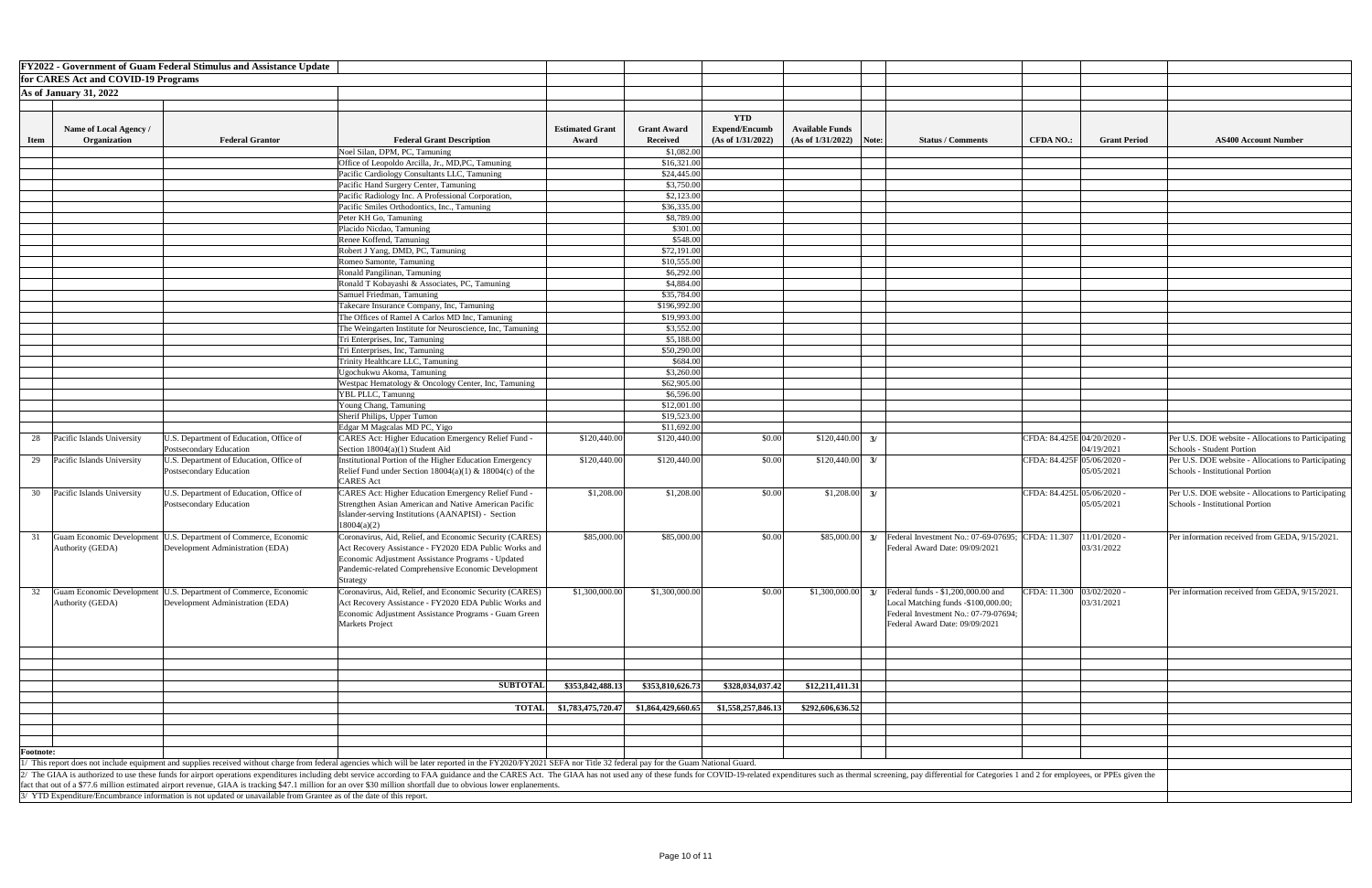|                  |                                     | <b>FY2022 - Government of Guam Federal Stimulus and Assistance Update</b>                                           |                                                                                                                                                                                                                                |                        |                            |                      |                           |    |                                                   |                            |                                                     |
|------------------|-------------------------------------|---------------------------------------------------------------------------------------------------------------------|--------------------------------------------------------------------------------------------------------------------------------------------------------------------------------------------------------------------------------|------------------------|----------------------------|----------------------|---------------------------|----|---------------------------------------------------|----------------------------|-----------------------------------------------------|
|                  |                                     |                                                                                                                     |                                                                                                                                                                                                                                |                        |                            |                      |                           |    |                                                   |                            |                                                     |
|                  | for CARES Act and COVID-19 Programs |                                                                                                                     |                                                                                                                                                                                                                                |                        |                            |                      |                           |    |                                                   |                            |                                                     |
|                  | <b>As of January 31, 2022</b>       |                                                                                                                     |                                                                                                                                                                                                                                |                        |                            |                      |                           |    |                                                   |                            |                                                     |
|                  |                                     |                                                                                                                     |                                                                                                                                                                                                                                |                        |                            |                      |                           |    |                                                   |                            |                                                     |
|                  |                                     |                                                                                                                     |                                                                                                                                                                                                                                |                        |                            | <b>YTD</b>           |                           |    |                                                   |                            |                                                     |
|                  | Name of Local Agency /              |                                                                                                                     |                                                                                                                                                                                                                                | <b>Estimated Grant</b> | <b>Grant Award</b>         | <b>Expend/Encumb</b> | <b>Available Funds</b>    |    |                                                   |                            |                                                     |
| <b>Item</b>      | Organization                        | <b>Federal Grantor</b>                                                                                              | <b>Federal Grant Description</b>                                                                                                                                                                                               | Award                  | <b>Received</b>            | (As of 1/31/2022)    | $(As of 1/31/2022)$ Note: |    | <b>Status / Comments</b><br><b>CFDA NO.:</b>      | <b>Grant Period</b>        | <b>AS400 Account Number</b>                         |
|                  |                                     |                                                                                                                     | Noel Silan, DPM, PC, Tamuning                                                                                                                                                                                                  |                        | \$1,082.00                 |                      |                           |    |                                                   |                            |                                                     |
|                  |                                     |                                                                                                                     | Office of Leopoldo Arcilla, Jr., MD,PC, Tamuning                                                                                                                                                                               |                        | \$16,321.00                |                      |                           |    |                                                   |                            |                                                     |
|                  |                                     |                                                                                                                     | Pacific Cardiology Consultants LLC, Tamuning                                                                                                                                                                                   |                        | \$24,445.00                |                      |                           |    |                                                   |                            |                                                     |
|                  |                                     |                                                                                                                     | Pacific Hand Surgery Center, Tamuning                                                                                                                                                                                          |                        | \$3,750.00                 |                      |                           |    |                                                   |                            |                                                     |
|                  |                                     |                                                                                                                     | Pacific Radiology Inc. A Professional Corporation,                                                                                                                                                                             |                        | \$2,123.00                 |                      |                           |    |                                                   |                            |                                                     |
|                  |                                     |                                                                                                                     | Pacific Smiles Orthodontics, Inc., Tamuning                                                                                                                                                                                    |                        | \$36,335.00                |                      |                           |    |                                                   |                            |                                                     |
|                  |                                     |                                                                                                                     | Peter KH Go, Tamuning                                                                                                                                                                                                          |                        | \$8,789.00                 |                      |                           |    |                                                   |                            |                                                     |
|                  |                                     |                                                                                                                     | Placido Nicdao, Tamuning                                                                                                                                                                                                       |                        | \$301.00                   |                      |                           |    |                                                   |                            |                                                     |
|                  |                                     |                                                                                                                     | Renee Koffend, Tamuning                                                                                                                                                                                                        |                        | \$548.00                   |                      |                           |    |                                                   |                            |                                                     |
|                  |                                     |                                                                                                                     | Robert J Yang, DMD, PC, Tamuning                                                                                                                                                                                               |                        | \$72,191.00                |                      |                           |    |                                                   |                            |                                                     |
|                  |                                     |                                                                                                                     | Romeo Samonte, Tamuning                                                                                                                                                                                                        |                        | \$10,555.00                |                      |                           |    |                                                   |                            |                                                     |
|                  |                                     |                                                                                                                     | Ronald Pangilinan, Tamuning                                                                                                                                                                                                    |                        | \$6,292.00                 |                      |                           |    |                                                   |                            |                                                     |
|                  |                                     |                                                                                                                     | Ronald T Kobayashi & Associates, PC, Tamuning                                                                                                                                                                                  |                        | \$4,884.00                 |                      |                           |    |                                                   |                            |                                                     |
|                  |                                     |                                                                                                                     | Samuel Friedman, Tamuning                                                                                                                                                                                                      |                        | \$35,784.00                |                      |                           |    |                                                   |                            |                                                     |
|                  |                                     |                                                                                                                     |                                                                                                                                                                                                                                |                        |                            |                      |                           |    |                                                   |                            |                                                     |
|                  |                                     |                                                                                                                     | Takecare Insurance Company, Inc, Tamuning                                                                                                                                                                                      |                        | \$196,992.00               |                      |                           |    |                                                   |                            |                                                     |
|                  |                                     |                                                                                                                     | The Offices of Ramel A Carlos MD Inc, Tamuning                                                                                                                                                                                 |                        | \$19,993.00                |                      |                           |    |                                                   |                            |                                                     |
|                  |                                     |                                                                                                                     | The Weingarten Institute for Neuroscience, Inc, Tamuning                                                                                                                                                                       |                        | \$3,552.00                 |                      |                           |    |                                                   |                            |                                                     |
|                  |                                     |                                                                                                                     | Tri Enterprises, Inc, Tamuning                                                                                                                                                                                                 |                        | \$5,188.00                 |                      |                           |    |                                                   |                            |                                                     |
|                  |                                     |                                                                                                                     | Tri Enterprises, Inc, Tamuning                                                                                                                                                                                                 |                        | \$50,290.00                |                      |                           |    |                                                   |                            |                                                     |
|                  |                                     |                                                                                                                     | Trinity Healthcare LLC, Tamuning                                                                                                                                                                                               |                        | \$684.00                   |                      |                           |    |                                                   |                            |                                                     |
|                  |                                     |                                                                                                                     | Ugochukwu Akoma, Tamuning                                                                                                                                                                                                      |                        | \$3,260.00                 |                      |                           |    |                                                   |                            |                                                     |
|                  |                                     |                                                                                                                     | Westpac Hematology & Oncology Center, Inc, Tamuning                                                                                                                                                                            |                        | \$62,905.00                |                      |                           |    |                                                   |                            |                                                     |
|                  |                                     |                                                                                                                     | YBL PLLC, Tamunng                                                                                                                                                                                                              |                        | \$6,596.00                 |                      |                           |    |                                                   |                            |                                                     |
|                  |                                     |                                                                                                                     | <b>Young Chang, Tamuning</b>                                                                                                                                                                                                   |                        | \$12,001.00<br>\$19,523.00 |                      |                           |    |                                                   |                            |                                                     |
|                  |                                     |                                                                                                                     | Sherif Philips, Upper Tumon                                                                                                                                                                                                    |                        | \$11,692.00                |                      |                           |    |                                                   |                            |                                                     |
|                  | Pacific Islands University          | U.S. Department of Education, Office of                                                                             | Edgar M Magcalas MD PC, Yigo<br><b>CARES Act: Higher Education Emergency Relief Fund -</b>                                                                                                                                     | \$120,440.00           | \$120,440.00               | \$0.00               | \$120,440.00              | 3/ |                                                   | CFDA: 84.425E 04/20/2020 - | Per U.S. DOE website - Allocations to Participating |
| 28               |                                     | Postsecondary Education                                                                                             | Section $18004(a)(1)$ Student Aid                                                                                                                                                                                              |                        |                            |                      |                           |    |                                                   | 04/19/2021                 | Schools - Student Portion                           |
|                  | 29 Pacific Islands University       | U.S. Department of Education, Office of                                                                             | Institutional Portion of the Higher Education Emergency                                                                                                                                                                        | \$120,440.00           | \$120,440.00               | \$0.00               | \$120,440.00              | 3/ |                                                   | CFDA: 84.425F 05/06/2020 - | Per U.S. DOE website - Allocations to Participating |
|                  |                                     | Postsecondary Education                                                                                             | Relief Fund under Section $18004(a)(1)$ & $18004(c)$ of the                                                                                                                                                                    |                        |                            |                      |                           |    |                                                   | 05/05/2021                 | Schools - Institutional Portion                     |
|                  |                                     |                                                                                                                     | <b>CARES</b> Act                                                                                                                                                                                                               |                        |                            |                      |                           |    |                                                   |                            |                                                     |
| 30               | Pacific Islands University          | U.S. Department of Education, Office of                                                                             | CARES Act: Higher Education Emergency Relief Fund -                                                                                                                                                                            | \$1,208.00             | \$1,208.00                 | \$0.00               | \$1,208.00                | 3/ |                                                   | CFDA: 84.425L 05/06/2020 - | Per U.S. DOE website - Allocations to Participating |
|                  |                                     | Postsecondary Education                                                                                             | Strengthen Asian American and Native American Pacific                                                                                                                                                                          |                        |                            |                      |                           |    |                                                   | 05/05/2021                 | Schools - Institutional Portion                     |
|                  |                                     |                                                                                                                     | Islander-serving Institutions (AANAPISI) - Section                                                                                                                                                                             |                        |                            |                      |                           |    |                                                   |                            |                                                     |
|                  |                                     |                                                                                                                     | 18004(a)(2)                                                                                                                                                                                                                    |                        |                            |                      |                           |    |                                                   |                            |                                                     |
|                  | Guam Economic Development           | U.S. Department of Commerce, Economic                                                                               | Coronavirus, Aid, Relief, and Economic Security (CARES)                                                                                                                                                                        | \$85,000.00            | \$85,000.00                | \$0.00               | \$85,000.00               |    | Federal Investment No.: 07-69-07695; CFDA: 11.307 | $11/01/2020$ -             | Per information received from GEDA, 9/15/2021.      |
|                  | Authority (GEDA)                    | Development Administration (EDA)                                                                                    | Act Recovery Assistance - FY2020 EDA Public Works and                                                                                                                                                                          |                        |                            |                      |                           |    | Federal Award Date: 09/09/2021                    | 03/31/2022                 |                                                     |
|                  |                                     |                                                                                                                     | Economic Adjustment Assistance Programs - Updated                                                                                                                                                                              |                        |                            |                      |                           |    |                                                   |                            |                                                     |
|                  |                                     |                                                                                                                     | Pandemic-related Comprehensive Economic Development                                                                                                                                                                            |                        |                            |                      |                           |    |                                                   |                            |                                                     |
|                  |                                     |                                                                                                                     | Strategy                                                                                                                                                                                                                       |                        |                            |                      |                           |    |                                                   |                            |                                                     |
| 32               | Guam Economic Development           | U.S. Department of Commerce, Economic                                                                               | Coronavirus, Aid, Relief, and Economic Security (CARES)                                                                                                                                                                        | \$1,300,000.00         | \$1,300,000.00             | \$0.00               | \$1,300,000.00            |    | Federal funds - \$1,200,000.00 and                | CFDA: 11.300 03/02/2020 -  | Per information received from GEDA, 9/15/2021.      |
|                  | Authority (GEDA)                    | Development Administration (EDA)                                                                                    | Act Recovery Assistance - FY2020 EDA Public Works and                                                                                                                                                                          |                        |                            |                      |                           |    | Local Matching funds -\$100,000.00;               | 03/31/2021                 |                                                     |
|                  |                                     |                                                                                                                     | Economic Adjustment Assistance Programs - Guam Green                                                                                                                                                                           |                        |                            |                      |                           |    | Federal Investment No.: 07-79-07694;              |                            |                                                     |
|                  |                                     |                                                                                                                     | Markets Project                                                                                                                                                                                                                |                        |                            |                      |                           |    | Federal Award Date: 09/09/2021                    |                            |                                                     |
|                  |                                     |                                                                                                                     |                                                                                                                                                                                                                                |                        |                            |                      |                           |    |                                                   |                            |                                                     |
|                  |                                     |                                                                                                                     |                                                                                                                                                                                                                                |                        |                            |                      |                           |    |                                                   |                            |                                                     |
|                  |                                     |                                                                                                                     |                                                                                                                                                                                                                                |                        |                            |                      |                           |    |                                                   |                            |                                                     |
|                  |                                     |                                                                                                                     |                                                                                                                                                                                                                                |                        |                            |                      |                           |    |                                                   |                            |                                                     |
|                  |                                     |                                                                                                                     |                                                                                                                                                                                                                                |                        |                            |                      |                           |    |                                                   |                            |                                                     |
|                  |                                     |                                                                                                                     | <b>SUBTOTAL</b>                                                                                                                                                                                                                | \$353,842,488.13       | \$353,810,626.73           | \$328,034,037.42     | \$12,211,411.31           |    |                                                   |                            |                                                     |
|                  |                                     |                                                                                                                     |                                                                                                                                                                                                                                |                        | \$1,864,429,660.65         |                      |                           |    |                                                   |                            |                                                     |
|                  |                                     |                                                                                                                     | <b>TOTAI</b>                                                                                                                                                                                                                   | \$1,783,475,720.47     |                            | \$1,558,257,846.13   | \$292,606,636.52          |    |                                                   |                            |                                                     |
|                  |                                     |                                                                                                                     |                                                                                                                                                                                                                                |                        |                            |                      |                           |    |                                                   |                            |                                                     |
|                  |                                     |                                                                                                                     |                                                                                                                                                                                                                                |                        |                            |                      |                           |    |                                                   |                            |                                                     |
| <b>Footnote:</b> |                                     |                                                                                                                     |                                                                                                                                                                                                                                |                        |                            |                      |                           |    |                                                   |                            |                                                     |
|                  |                                     |                                                                                                                     | This report does not include equipment and supplies received without charge from federal agencies which will be later reported in the FY2020/FY2021 SEFA nor Title 32 federal pay for the Guam National Guard.                 |                        |                            |                      |                           |    |                                                   |                            |                                                     |
|                  |                                     |                                                                                                                     | The GIAA is authorized to use these funds for airport operations expenditures including debt service according to FAA guidance and the CARES Act. The GIAA has not used any of these funds for COVID-19-related expenditures s |                        |                            |                      |                           |    |                                                   |                            |                                                     |
|                  |                                     |                                                                                                                     | fact that out of a \$77.6 million estimated airport revenue, GIAA is tracking \$47.1 million for an over \$30 million shortfall due to obvious lower enplanements.                                                             |                        |                            |                      |                           |    |                                                   |                            |                                                     |
|                  |                                     | / YTD Expenditure/Encumbrance information is not updated or unavailable from Grantee as of the date of this report. |                                                                                                                                                                                                                                |                        |                            |                      |                           |    |                                                   |                            |                                                     |

| <b>Number</b>           |
|-------------------------|
|                         |
|                         |
|                         |
|                         |
|                         |
|                         |
|                         |
|                         |
|                         |
|                         |
|                         |
|                         |
|                         |
|                         |
|                         |
|                         |
|                         |
|                         |
|                         |
|                         |
|                         |
| ations to Participating |
| ations to Participating |
|                         |
|                         |
| ations to Participating |
|                         |
|                         |
| GEDA, 9/15/2021.        |
|                         |
|                         |
|                         |
| GEDA, 9/15/2021.        |
|                         |
|                         |
|                         |
|                         |
|                         |
|                         |
|                         |
|                         |
|                         |
|                         |
|                         |
|                         |
|                         |
|                         |
|                         |
|                         |